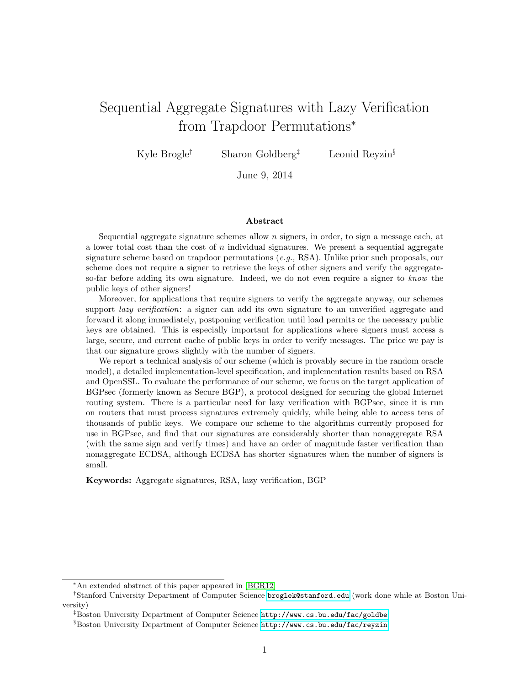# Sequential Aggregate Signatures with Lazy Verification from Trapdoor Permutations<sup>∗</sup>

Kyle Brogle<sup>†</sup> Sharon Goldberg<sup>‡</sup> Leonid Reyzin<sup>§</sup>

June 9, 2014

#### Abstract

Sequential aggregate signature schemes allow  $n$  signers, in order, to sign a message each, at a lower total cost than the cost of  $n$  individual signatures. We present a sequential aggregate signature scheme based on trapdoor permutations  $(e.g., RSA)$ . Unlike prior such proposals, our scheme does not require a signer to retrieve the keys of other signers and verify the aggregateso-far before adding its own signature. Indeed, we do not even require a signer to know the public keys of other signers!

Moreover, for applications that require signers to verify the aggregate anyway, our schemes support *lazy verification*: a signer can add its own signature to an unverified aggregate and forward it along immediately, postponing verification until load permits or the necessary public keys are obtained. This is especially important for applications where signers must access a large, secure, and current cache of public keys in order to verify messages. The price we pay is that our signature grows slightly with the number of signers.

We report a technical analysis of our scheme (which is provably secure in the random oracle model), a detailed implementation-level specification, and implementation results based on RSA and OpenSSL. To evaluate the performance of our scheme, we focus on the target application of BGPsec (formerly known as Secure BGP), a protocol designed for securing the global Internet routing system. There is a particular need for lazy verification with BGPsec, since it is run on routers that must process signatures extremely quickly, while being able to access tens of thousands of public keys. We compare our scheme to the algorithms currently proposed for use in BGPsec, and find that our signatures are considerably shorter than nonaggregate RSA (with the same sign and verify times) and have an order of magnitude faster verification than nonaggregate ECDSA, although ECDSA has shorter signatures when the number of signers is small.

Keywords: Aggregate signatures, RSA, lazy verification, BGP

<sup>∗</sup>An extended abstract of this paper appeared in [\[BGR12\]](#page-18-0)

<sup>†</sup>Stanford University Department of Computer Science <broglek@stanford.edu> (work done while at Boston University)

<sup>‡</sup>Boston University Department of Computer Science <http://www.cs.bu.edu/fac/goldbe>

<sup>§</sup>Boston University Department of Computer Science <http://www.cs.bu.edu/fac/reyzin>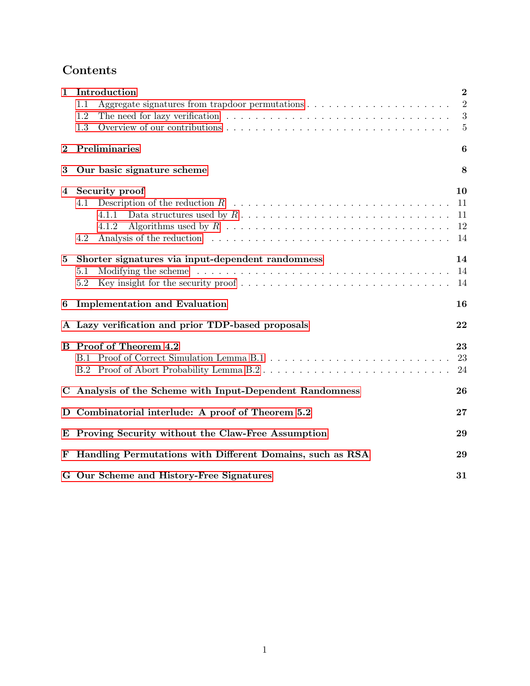# Contents

| $\mathbf{1}$ | Introduction                                                                                                                                                                                                          | $\bf{2}$       |
|--------------|-----------------------------------------------------------------------------------------------------------------------------------------------------------------------------------------------------------------------|----------------|
|              | 1.1                                                                                                                                                                                                                   | $\overline{2}$ |
|              | 1.2                                                                                                                                                                                                                   | $\sqrt{3}$     |
|              | 1.3                                                                                                                                                                                                                   | $\overline{5}$ |
| $\bf{2}$     | Preliminaries                                                                                                                                                                                                         | 6              |
| $\bf{3}$     | Our basic signature scheme                                                                                                                                                                                            | 8              |
| 4            | Security proof                                                                                                                                                                                                        | 10             |
|              | 4.1                                                                                                                                                                                                                   | 11             |
|              | 4.1.1                                                                                                                                                                                                                 | 11             |
|              | 4.1.2                                                                                                                                                                                                                 | 12             |
|              | Analysis of the reduction entering entering to the reduction of the reduction entering to the reduction of the reduction of the reduction of the reduction of the reduction of the reduction of $\mathbb{R}$ .<br>4.2 | 14             |
| $\bf{5}$     | Shorter signatures via input-dependent randomness                                                                                                                                                                     | 14             |
|              | 5.1                                                                                                                                                                                                                   | 14             |
|              | Key insight for the security proof $\ldots \ldots \ldots \ldots \ldots \ldots \ldots \ldots \ldots \ldots$<br>5.2                                                                                                     | 14             |
| 6            | <b>Implementation and Evaluation</b>                                                                                                                                                                                  | 16             |
|              | A Lazy verification and prior TDP-based proposals                                                                                                                                                                     | 22             |
|              | <b>B</b> Proof of Theorem 4.2                                                                                                                                                                                         | 23             |
|              |                                                                                                                                                                                                                       | 23             |
|              | B.2 Proof of Abort Probability Lemma B.2                                                                                                                                                                              | 24             |
|              | C Analysis of the Scheme with Input-Dependent Randomness                                                                                                                                                              | 26             |
|              | D Combinatorial interlude: A proof of Theorem 5.2                                                                                                                                                                     | 27             |
|              | E Proving Security without the Claw-Free Assumption                                                                                                                                                                   | 29             |
| F            | Handling Permutations with Different Domains, such as RSA                                                                                                                                                             | 29             |
|              | G Our Scheme and History-Free Signatures                                                                                                                                                                              | 31             |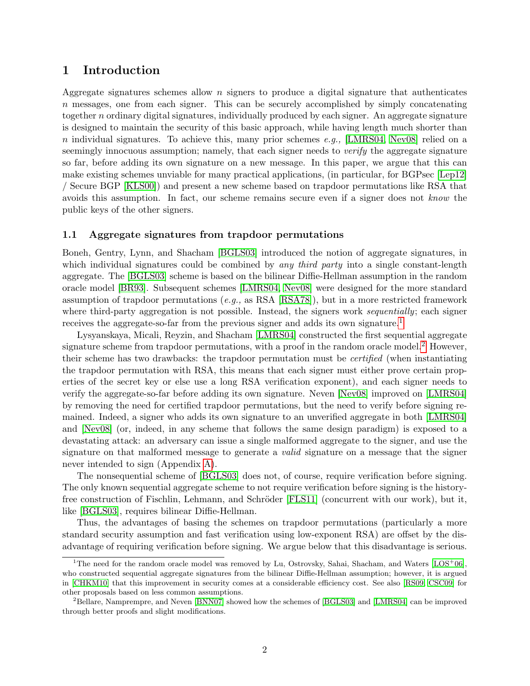# <span id="page-2-0"></span>1 Introduction

Aggregate signatures schemes allow  $n$  signers to produce a digital signature that authenticates n messages, one from each signer. This can be securely accomplished by simply concatenating together n ordinary digital signatures, individually produced by each signer. An aggregate signature is designed to maintain the security of this basic approach, while having length much shorter than n individual signatures. To achieve this, many prior schemes e.g., [\[LMRS04,](#page-20-0) [Nev08\]](#page-20-1) relied on a seemingly innocuous assumption; namely, that each signer needs to *verify* the aggregate signature so far, before adding its own signature on a new message. In this paper, we argue that this can make existing schemes unviable for many practical applications, (in particular, for BGPsec [\[Lep12\]](#page-20-2) / Secure BGP [\[KLS00\]](#page-20-3)) and present a new scheme based on trapdoor permutations like RSA that avoids this assumption. In fact, our scheme remains secure even if a signer does not know the public keys of the other signers.

#### <span id="page-2-1"></span>1.1 Aggregate signatures from trapdoor permutations

Boneh, Gentry, Lynn, and Shacham [\[BGLS03\]](#page-18-1) introduced the notion of aggregate signatures, in which individual signatures could be combined by any third party into a single constant-length aggregate. The [\[BGLS03\]](#page-18-1) scheme is based on the bilinear Diffie-Hellman assumption in the random oracle model [\[BR93\]](#page-18-2). Subsequent schemes [\[LMRS04,](#page-20-0) [Nev08\]](#page-20-1) were designed for the more standard assumption of trapdoor permutations  $(e.g.,$  as RSA [\[RSA78\]](#page-21-0)), but in a more restricted framework where third-party aggregation is not possible. Instead, the signers work *sequentially*; each signer receives the aggregate-so-far from the previous signer and adds its own signature.<sup>[1](#page-2-2)</sup>

Lysyanskaya, Micali, Reyzin, and Shacham [\[LMRS04\]](#page-20-0) constructed the first sequential aggregate signature scheme from trapdoor permutations, with a proof in the random oracle model.<sup>[2](#page-2-3)</sup> However, their scheme has two drawbacks: the trapdoor permutation must be certified (when instantiating the trapdoor permutation with RSA, this means that each signer must either prove certain properties of the secret key or else use a long RSA verification exponent), and each signer needs to verify the aggregate-so-far before adding its own signature. Neven [\[Nev08\]](#page-20-1) improved on [\[LMRS04\]](#page-20-0) by removing the need for certified trapdoor permutations, but the need to verify before signing remained. Indeed, a signer who adds its own signature to an unverified aggregate in both [\[LMRS04\]](#page-20-0) and [\[Nev08\]](#page-20-1) (or, indeed, in any scheme that follows the same design paradigm) is exposed to a devastating attack: an adversary can issue a single malformed aggregate to the signer, and use the signature on that malformed message to generate a *valid* signature on a message that the signer never intended to sign (Appendix [A\)](#page-22-0).

The nonsequential scheme of [\[BGLS03\]](#page-18-1) does not, of course, require verification before signing. The only known sequential aggregate scheme to not require verification before signing is the history-free construction of Fischlin, Lehmann, and Schröder [\[FLS11\]](#page-19-0) (concurrent with our work), but it, like [\[BGLS03\]](#page-18-1), requires bilinear Diffie-Hellman.

Thus, the advantages of basing the schemes on trapdoor permutations (particularly a more standard security assumption and fast verification using low-exponent RSA) are offset by the disadvantage of requiring verification before signing. We argue below that this disadvantage is serious.

<span id="page-2-2"></span><sup>&</sup>lt;sup>1</sup>The need for the random oracle model was removed by Lu, Ostrovsky, Sahai, Shacham, and Waters [\[LOS](#page-20-4)<sup>+</sup>06]. who constructed sequential aggregate signatures from the bilinear Diffie-Hellman assumption; however, it is argued in [\[CHKM10\]](#page-19-1) that this improvement in security comes at a considerable efficiency cost. See also [\[RS09,](#page-21-1) [CSC09\]](#page-19-2) for other proposals based on less common assumptions.

<span id="page-2-3"></span><sup>&</sup>lt;sup>2</sup>Bellare, Namprempre, and Neven [\[BNN07\]](#page-18-3) showed how the schemes of [\[BGLS03\]](#page-18-1) and [\[LMRS04\]](#page-20-0) can be improved through better proofs and slight modifications.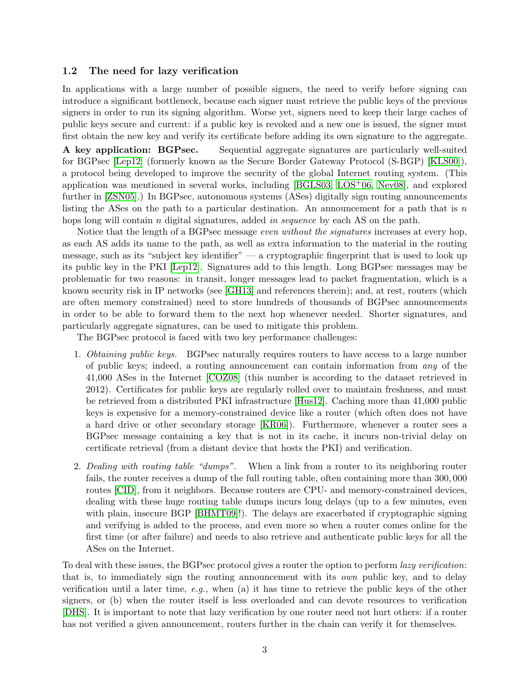#### <span id="page-3-0"></span>1.2 The need for lazy verification

In applications with a large number of possible signers, the need to verify before signing can introduce a significant bottleneck, because each signer must retrieve the public keys of the previous signers in order to run its signing algorithm. Worse yet, signers need to keep their large caches of public keys secure and current: if a public key is revoked and a new one is issued, the signer must first obtain the new key and verify its certificate before adding its own signature to the aggregate.

A key application: BGPsec. Sequential aggregate signatures are particularly well-suited for BGPsec [\[Lep12\]](#page-20-2) (formerly known as the Secure Border Gateway Protocol (S-BGP) [\[KLS00\]](#page-20-3)), a protocol being developed to improve the security of the global Internet routing system. (This application was mentioned in several works, including  $[BGLS03, LOS<sup>+</sup>06, New08]$  $[BGLS03, LOS<sup>+</sup>06, New08]$  $[BGLS03, LOS<sup>+</sup>06, New08]$ , and explored further in [\[ZSN05\]](#page-22-1).) In BGPsec, autonomous systems (ASes) digitally sign routing announcements listing the ASes on the path to a particular destination. An announcement for a path that is  $n$ hops long will contain n digital signatures, added in sequence by each AS on the path.

Notice that the length of a BGPsec message *even without the signatures* increases at every hop, as each AS adds its name to the path, as well as extra information to the material in the routing message, such as its "subject key identifier"  $-$  a cryptographic fingerprint that is used to look up its public key in the PKI [\[Lep12\]](#page-20-2). Signatures add to this length. Long BGPsec messages may be problematic for two reasons: in transit, longer messages lead to packet fragmentation, which is a known security risk in IP networks (see [\[GH13\]](#page-19-3) and references therein); and, at rest, routers (which are often memory constrained) need to store hundreds of thousands of BGPsec announcements in order to be able to forward them to the next hop whenever needed. Shorter signatures, and particularly aggregate signatures, can be used to mitigate this problem.

The BGPsec protocol is faced with two key performance challenges:

- 1. Obtaining public keys. BGPsec naturally requires routers to have access to a large number of public keys; indeed, a routing announcement can contain information from any of the 41,000 ASes in the Internet [\[COZ08\]](#page-19-4) (this number is according to the dataset retrieved in 2012). Certificates for public keys are regularly rolled over to maintain freshness, and must be retrieved from a distributed PKI infrastructure [\[Hus12\]](#page-20-5). Caching more than 41,000 public keys is expensive for a memory-constrained device like a router (which often does not have a hard drive or other secondary storage [\[KR06\]](#page-20-6)). Furthermore, whenever a router sees a BGPsec message containing a key that is not in its cache, it incurs non-trivial delay on certificate retrieval (from a distant device that hosts the PKI) and verification.
- 2. Dealing with routing table "dumps". When a link from a router to its neighboring router fails, the router receives a dump of the full routing table, often containing more than 300, 000 routes [\[CID\]](#page-19-5), from it neighbors. Because routers are CPU- and memory-constrained devices, dealing with these huge routing table dumps incurs long delays (up to a few minutes, even with plain, insecure BGP [\[BHMT09\]](#page-18-4)!). The delays are exacerbated if cryptographic signing and verifying is added to the process, and even more so when a router comes online for the first time (or after failure) and needs to also retrieve and authenticate public keys for all the ASes on the Internet.

To deal with these issues, the BGPsec protocol gives a router the option to perform lazy verification: that is, to immediately sign the routing announcement with its own public key, and to delay verification until a later time, e.g., when (a) it has time to retrieve the public keys of the other signers, or (b) when the router itself is less overloaded and can devote resources to verification [\[DHS\]](#page-19-6). It is important to note that lazy verification by one router need not hurt others: if a router has not verified a given announcement, routers further in the chain can verify it for themselves.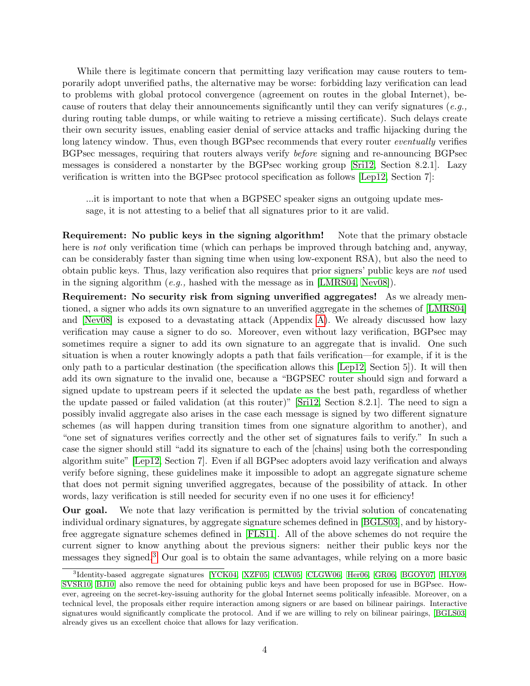While there is legitimate concern that permitting lazy verification may cause routers to temporarily adopt unverified paths, the alternative may be worse: forbidding lazy verification can lead to problems with global protocol convergence (agreement on routes in the global Internet), because of routers that delay their announcements significantly until they can verify signatures (e.g., during routing table dumps, or while waiting to retrieve a missing certificate). Such delays create their own security issues, enabling easier denial of service attacks and traffic hijacking during the long latency window. Thus, even though BGPsec recommends that every router *eventually* verifies BGPsec messages, requiring that routers always verify before signing and re-announcing BGPsec messages is considered a nonstarter by the BGPsec working group [\[Sri12,](#page-21-2) Section 8.2.1]. Lazy verification is written into the BGPsec protocol specification as follows [\[Lep12,](#page-20-2) Section 7]:

...it is important to note that when a BGPSEC speaker signs an outgoing update message, it is not attesting to a belief that all signatures prior to it are valid.

Requirement: No public keys in the signing algorithm! Note that the primary obstacle here is not only verification time (which can perhaps be improved through batching and, anyway, can be considerably faster than signing time when using low-exponent RSA), but also the need to obtain public keys. Thus, lazy verification also requires that prior signers' public keys are not used in the signing algorithm (e.g., hashed with the message as in [\[LMRS04,](#page-20-0) [Nev08\]](#page-20-1)).

Requirement: No security risk from signing unverified aggregates! As we already mentioned, a signer who adds its own signature to an unverified aggregate in the schemes of [\[LMRS04\]](#page-20-0) and [\[Nev08\]](#page-20-1) is exposed to a devastating attack (Appendix [A\)](#page-22-0). We already discussed how lazy verification may cause a signer to do so. Moreover, even without lazy verification, BGPsec may sometimes require a signer to add its own signature to an aggregate that is invalid. One such situation is when a router knowingly adopts a path that fails verification—for example, if it is the only path to a particular destination (the specification allows this [\[Lep12,](#page-20-2) Section 5]). It will then add its own signature to the invalid one, because a "BGPSEC router should sign and forward a signed update to upstream peers if it selected the update as the best path, regardless of whether the update passed or failed validation (at this router)" [\[Sri12,](#page-21-2) Section 8.2.1]. The need to sign a possibly invalid aggregate also arises in the case each message is signed by two different signature schemes (as will happen during transition times from one signature algorithm to another), and "one set of signatures verifies correctly and the other set of signatures fails to verify." In such a case the signer should still "add its signature to each of the [chains] using both the corresponding algorithm suite" [\[Lep12,](#page-20-2) Section 7]. Even if all BGPsec adopters avoid lazy verification and always verify before signing, these guidelines make it impossible to adopt an aggregate signature scheme that does not permit signing unverified aggregates, because of the possibility of attack. In other words, lazy verification is still needed for security even if no one uses it for efficiency!

Our goal. We note that lazy verification is permitted by the trivial solution of concatenating individual ordinary signatures, by aggregate signature schemes defined in [\[BGLS03\]](#page-18-1), and by historyfree aggregate signature schemes defined in [\[FLS11\]](#page-19-0). All of the above schemes do not require the current signer to know anything about the previous signers: neither their public keys nor the messages they signed.[3](#page-4-0) Our goal is to obtain the same advantages, while relying on a more basic

<span id="page-4-0"></span><sup>3</sup> Identity-based aggregate signatures [\[YCK04,](#page-21-3) [XZF05,](#page-21-4) [CLW05,](#page-19-7) [CLGW06,](#page-19-8) [Her06,](#page-20-7) [GR06,](#page-20-8) [BGOY07,](#page-18-5) [HLY09,](#page-20-9) [SVSR10,](#page-21-5) [BJ10\]](#page-18-6) also remove the need for obtaining public keys and have been proposed for use in BGPsec. However, agreeing on the secret-key-issuing authority for the global Internet seems politically infeasible. Moreover, on a technical level, the proposals either require interaction among signers or are based on bilinear pairings. Interactive signatures would significantly complicate the protocol. And if we are willing to rely on bilinear pairings, [\[BGLS03\]](#page-18-1) already gives us an excellent choice that allows for lazy verification.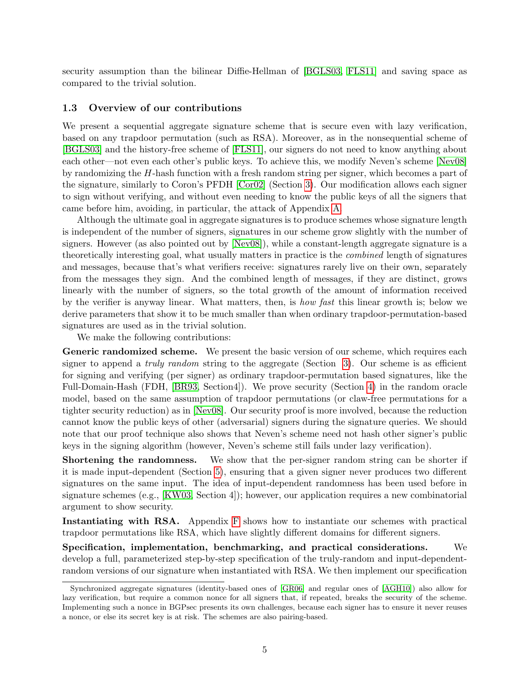security assumption than the bilinear Diffie-Hellman of [\[BGLS03,](#page-18-1) [FLS11\]](#page-19-0) and saving space as compared to the trivial solution.

#### <span id="page-5-0"></span>1.3 Overview of our contributions

We present a sequential aggregate signature scheme that is secure even with lazy verification, based on any trapdoor permutation (such as RSA). Moreover, as in the nonsequential scheme of [\[BGLS03\]](#page-18-1) and the history-free scheme of [\[FLS11\]](#page-19-0), our signers do not need to know anything about each other—not even each other's public keys. To achieve this, we modify Neven's scheme [\[Nev08\]](#page-20-1) by randomizing the H-hash function with a fresh random string per signer, which becomes a part of the signature, similarly to Coron's PFDH [\[Cor02\]](#page-19-9) (Section [3\)](#page-8-0). Our modification allows each signer to sign without verifying, and without even needing to know the public keys of all the signers that came before him, avoiding, in particular, the attack of Appendix [A.](#page-22-0)

Although the ultimate goal in aggregate signatures is to produce schemes whose signature length is independent of the number of signers, signatures in our scheme grow slightly with the number of signers. However (as also pointed out by [\[Nev08\]](#page-20-1)), while a constant-length aggregate signature is a theoretically interesting goal, what usually matters in practice is the combined length of signatures and messages, because that's what verifiers receive: signatures rarely live on their own, separately from the messages they sign. And the combined length of messages, if they are distinct, grows linearly with the number of signers, so the total growth of the amount of information received by the verifier is anyway linear. What matters, then, is *how fast* this linear growth is; below we derive parameters that show it to be much smaller than when ordinary trapdoor-permutation-based signatures are used as in the trivial solution.

We make the following contributions:

Generic randomized scheme. We present the basic version of our scheme, which requires each signer to append a *truly random* string to the aggregate (Section  $3$ ). Our scheme is as efficient for signing and verifying (per signer) as ordinary trapdoor-permutation based signatures, like the Full-Domain-Hash (FDH, [\[BR93,](#page-18-2) Section4]). We prove security (Section [4\)](#page-10-0) in the random oracle model, based on the same assumption of trapdoor permutations (or claw-free permutations for a tighter security reduction) as in [\[Nev08\]](#page-20-1). Our security proof is more involved, because the reduction cannot know the public keys of other (adversarial) signers during the signature queries. We should note that our proof technique also shows that Neven's scheme need not hash other signer's public keys in the signing algorithm (however, Neven's scheme still fails under lazy verification).

Shortening the randomness. We show that the per-signer random string can be shorter if it is made input-dependent (Section [5\)](#page-14-1), ensuring that a given signer never produces two different signatures on the same input. The idea of input-dependent randomness has been used before in signature schemes (e.g., [\[KW03,](#page-20-10) Section 4]); however, our application requires a new combinatorial argument to show security.

Instantiating with RSA. Appendix [F](#page-29-1) shows how to instantiate our schemes with practical trapdoor permutations like RSA, which have slightly different domains for different signers.

Specification, implementation, benchmarking, and practical considerations. We develop a full, parameterized step-by-step specification of the truly-random and input-dependentrandom versions of our signature when instantiated with RSA. We then implement our specification

Synchronized aggregate signatures (identity-based ones of [\[GR06\]](#page-20-8) and regular ones of [\[AGH10\]](#page-17-0)) also allow for lazy verification, but require a common nonce for all signers that, if repeated, breaks the security of the scheme. Implementing such a nonce in BGPsec presents its own challenges, because each signer has to ensure it never reuses a nonce, or else its secret key is at risk. The schemes are also pairing-based.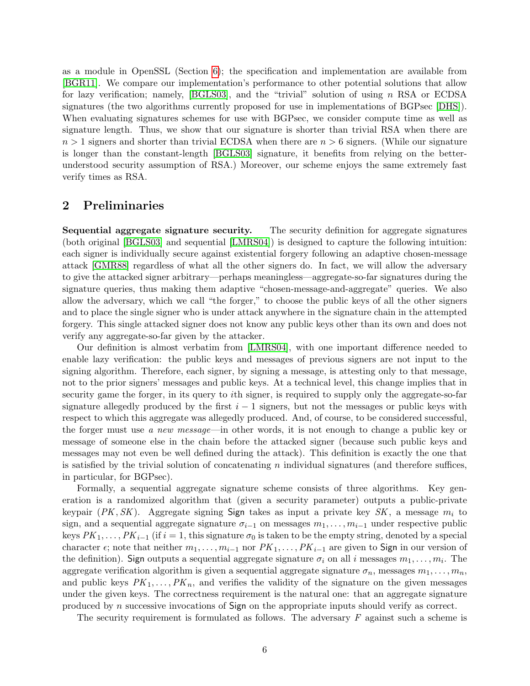as a module in OpenSSL (Section [6\)](#page-16-0); the specification and implementation are available from [\[BGR11\]](#page-18-7). We compare our implementation's performance to other potential solutions that allow for lazy verification; namely, [\[BGLS03\]](#page-18-1), and the "trivial" solution of using n RSA or ECDSA signatures (the two algorithms currently proposed for use in implementations of BGPsec [\[DHS\]](#page-19-6)). When evaluating signatures schemes for use with BGPsec, we consider compute time as well as signature length. Thus, we show that our signature is shorter than trivial RSA when there are  $n > 1$  signers and shorter than trivial ECDSA when there are  $n > 6$  signers. (While our signature is longer than the constant-length [\[BGLS03\]](#page-18-1) signature, it benefits from relying on the betterunderstood security assumption of RSA.) Moreover, our scheme enjoys the same extremely fast verify times as RSA.

# <span id="page-6-0"></span>2 Preliminaries

Sequential aggregate signature security. The security definition for aggregate signatures (both original [\[BGLS03\]](#page-18-1) and sequential [\[LMRS04\]](#page-20-0)) is designed to capture the following intuition: each signer is individually secure against existential forgery following an adaptive chosen-message attack [\[GMR88\]](#page-20-11) regardless of what all the other signers do. In fact, we will allow the adversary to give the attacked signer arbitrary—perhaps meaningless—aggregate-so-far signatures during the signature queries, thus making them adaptive "chosen-message-and-aggregate" queries. We also allow the adversary, which we call "the forger," to choose the public keys of all the other signers and to place the single signer who is under attack anywhere in the signature chain in the attempted forgery. This single attacked signer does not know any public keys other than its own and does not verify any aggregate-so-far given by the attacker.

Our definition is almost verbatim from [\[LMRS04\]](#page-20-0), with one important difference needed to enable lazy verification: the public keys and messages of previous signers are not input to the signing algorithm. Therefore, each signer, by signing a message, is attesting only to that message, not to the prior signers' messages and public keys. At a technical level, this change implies that in security game the forger, in its query to ith signer, is required to supply only the aggregate-so-far signature allegedly produced by the first  $i - 1$  signers, but not the messages or public keys with respect to which this aggregate was allegedly produced. And, of course, to be considered successful, the forger must use a new message—in other words, it is not enough to change a public key or message of someone else in the chain before the attacked signer (because such public keys and messages may not even be well defined during the attack). This definition is exactly the one that is satisfied by the trivial solution of concatenating  $n$  individual signatures (and therefore suffices, in particular, for BGPsec).

Formally, a sequential aggregate signature scheme consists of three algorithms. Key generation is a randomized algorithm that (given a security parameter) outputs a public-private keypair (PK, SK). Aggregate signing Sign takes as input a private key SK, a message  $m_i$  to sign, and a sequential aggregate signature  $\sigma_{i-1}$  on messages  $m_1, \ldots, m_{i-1}$  under respective public keys  $PK_1, \ldots, PK_{i-1}$  (if  $i = 1$ , this signature  $\sigma_0$  is taken to be the empty string, denoted by a special character  $\epsilon$ ; note that neither  $m_1, \ldots, m_{i-1}$  nor  $PK_1, \ldots, PK_{i-1}$  are given to Sign in our version of the definition). Sign outputs a sequential aggregate signature  $\sigma_i$  on all i messages  $m_1, \ldots, m_i$ . The aggregate verification algorithm is given a sequential aggregate signature  $\sigma_n$ , messages  $m_1, \ldots, m_n$ , and public keys  $PK_1, \ldots, PK_n$ , and verifies the validity of the signature on the given messages under the given keys. The correctness requirement is the natural one: that an aggregate signature produced by n successive invocations of  $Sign$  on the appropriate inputs should verify as correct.

The security requirement is formulated as follows. The adversary  $F$  against such a scheme is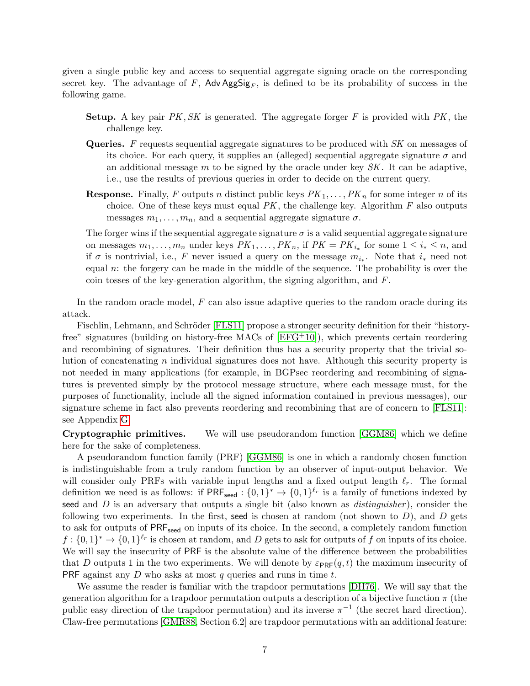given a single public key and access to sequential aggregate signing oracle on the corresponding secret key. The advantage of F, Adv  $\text{AgSig}_F$ , is defined to be its probability of success in the following game.

- **Setup.** A key pair  $PK, SK$  is generated. The aggregate forger F is provided with  $PK$ , the challenge key.
- **Queries.** F requests sequential aggregate signatures to be produced with  $SK$  on messages of its choice. For each query, it supplies an (alleged) sequential aggregate signature  $\sigma$  and an additional message  $m$  to be signed by the oracle under key  $SK$ . It can be adaptive, i.e., use the results of previous queries in order to decide on the current query.
- **Response.** Finally, F outputs n distinct public keys  $PK_1, \ldots, PK_n$  for some integer n of its choice. One of these keys must equal  $PK$ , the challenge key. Algorithm  $F$  also outputs messages  $m_1, \ldots, m_n$ , and a sequential aggregate signature  $\sigma$ .

The forger wins if the sequential aggregate signature  $\sigma$  is a valid sequential aggregate signature on messages  $m_1, \ldots, m_n$  under keys  $PK_1, \ldots, PK_n$ , if  $PK = PK_{i_*}$  for some  $1 \leq i_* \leq n$ , and if  $\sigma$  is nontrivial, i.e., F never issued a query on the message  $m_{i_*}$ . Note that  $i_*$  need not equal n: the forgery can be made in the middle of the sequence. The probability is over the coin tosses of the key-generation algorithm, the signing algorithm, and  $F$ .

In the random oracle model,  $F$  can also issue adaptive queries to the random oracle during its attack.

Fischlin, Lehmann, and Schröder [\[FLS11\]](#page-19-0) propose a stronger security definition for their "historyfree" signatures (building on history-free MACs of  $[EFG<sup>+</sup>10]$  $[EFG<sup>+</sup>10]$ ), which prevents certain reordering and recombining of signatures. Their definition thus has a security property that the trivial solution of concatenating  $n$  individual signatures does not have. Although this security property is not needed in many applications (for example, in BGPsec reordering and recombining of signatures is prevented simply by the protocol message structure, where each message must, for the purposes of functionality, include all the signed information contained in previous messages), our signature scheme in fact also prevents reordering and recombining that are of concern to [\[FLS11\]](#page-19-0): see Appendix [G.](#page-31-0)

Cryptographic primitives. We will use pseudorandom function [\[GGM86\]](#page-19-11) which we define here for the sake of completeness.

A pseudorandom function family (PRF) [\[GGM86\]](#page-19-11) is one in which a randomly chosen function is indistinguishable from a truly random function by an observer of input-output behavior. We will consider only PRFs with variable input lengths and a fixed output length  $\ell_r$ . The formal definition we need is as follows: if  $PRF_{seed} : \{0,1\}^* \to \{0,1\}^{\ell_r}$  is a family of functions indexed by seed and  $D$  is an adversary that outputs a single bit (also known as *distinguisher*), consider the following two experiments. In the first, seed is chosen at random (not shown to  $D$ ), and  $D$  gets to ask for outputs of  $PRF_{seed}$  on inputs of its choice. In the second, a completely random function  $f: \{0,1\}^* \to \{0,1\}^{\ell_r}$  is chosen at random, and D gets to ask for outputs of f on inputs of its choice. We will say the insecurity of PRF is the absolute value of the difference between the probabilities that D outputs 1 in the two experiments. We will denote by  $\varepsilon_{\text{PRE}}(q, t)$  the maximum insecurity of PRF against any  $D$  who asks at most  $q$  queries and runs in time  $t$ .

We assume the reader is familiar with the trapdoor permutations [\[DH76\]](#page-19-12). We will say that the generation algorithm for a trapdoor permutation outputs a description of a bijective function  $\pi$  (the public easy direction of the trapdoor permutation) and its inverse  $\pi^{-1}$  (the secret hard direction). Claw-free permutations [\[GMR88,](#page-20-11) Section 6.2] are trapdoor permutations with an additional feature: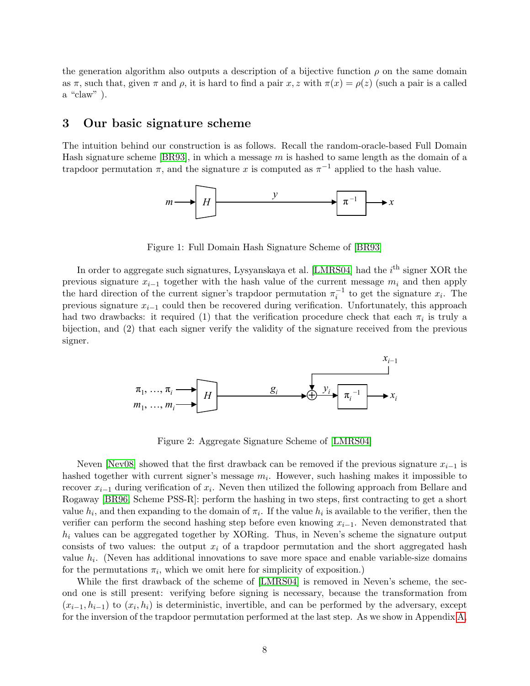the generation algorithm also outputs a description of a bijective function  $\rho$  on the same domain as  $\pi$ , such that, given  $\pi$  and  $\rho$ , it is hard to find a pair x, z with  $\pi(x) = \rho(z)$  (such a pair is a called a "claw" ).

# <span id="page-8-0"></span>3 Our basic signature scheme

The intuition behind our construction is as follows. Recall the random-oracle-based Full Domain Hash signature scheme [\[BR93\]](#page-18-2), in which a message  $m$  is hashed to same length as the domain of a trapdoor permutation  $\pi$ , and the signature x is computed as  $\pi^{-1}$  applied to the hash value.



Figure 1: Full Domain Hash Signature Scheme of [\[BR93\]](#page-18-2)

had two drawbacks: it required (1) that the verification procedure check that each  $\pi_i$  is truly a In order to aggregate such signatures, Lysyanskaya et al. [\[LMRS04\]](#page-20-0) had the  $i^{\text{th}}$  signer XOR the previous signature  $x_{i-1}$  together with the hash value of the current message  $m_i$  and then apply the hard direction of the current signer's trapdoor permutation  $\pi_i^{-1}$  to get the signature  $x_i$ . The previous signature  $x_{i-1}$  could then be recovered during verification. Unfortunately, this approach had two drawbacks: it required (1) that the verification procedure check that each  $\pi_i$  is truly a bijection, and (2) that each signer verify the validity of the signature received from the previous signer.



*xi−*<sup>1</sup> *hi−*1 *xi−*<sup>1</sup> Figure 2: Aggregate Signature Scheme of [\[LMRS04\]](#page-20-0)

d that the first drawback can be removed if the previous hashed together with current signer's message  $m_i$ . However, such hashing makes it impossible to recover  $x_{i-1}$  during verification of  $x_i$ . Neven then utilized the following approach from Bellare and π*i h e* first drawback can be reme *nasned together with current signer* s message  $m_i$ . However, such hasning makes it impossible to recover  $x_{i-1}$  during verification of  $x_i$ . Neven then utilized the following approach from Bellare and ng vermca<br>Sebomo P Rogaway [\[BR96,](#page-18-8) Scheme PSS-R]: perform the hashing in two steps, first contracting to get a short Neven [\[Nev08\]](#page-20-1) showed that the first drawback can be removed if the previous signature  $x_{i-1}$  is value  $h_i$ . (Neven has additional innovations to save more space and enable variable-size domains for the permutations  $\pi_i$ , which we omit here for simplicity of exposition.) value  $h_i$ , and then expanding to the domain of  $\pi_i$ . If the value  $h_i$  is available to the verifier, then the verifier can perform the second hashing step before even knowing  $x_{i-1}$ . Neven demonstrated that  $h_i$  values can be aggregated together by XORing. Thus, in Neven's scheme the signature output consists of two values: the output  $x_i$  of a trapdoor permutation and the short aggregated hash

While the first drawback of the scheme of [LMRS04] is removed in Neven's scheme, the second one is still present: verifying before signing is necessary, because the transformation from *While the first drawback of the scheme of [\[LMRS04\]](#page-20-0) is removed in Neven's scheme, the sec-<br>
one is still present: verifying before signing is necessary because the transformation from*  $(x_{i-1}, h_{i-1})$  to  $(x_i, h_i)$  is deterministic, invertible, and can be performed by the adversary, except for the inversion of the trapdoor permutation performed at the last step. As we show in Appendix [A,](#page-22-0)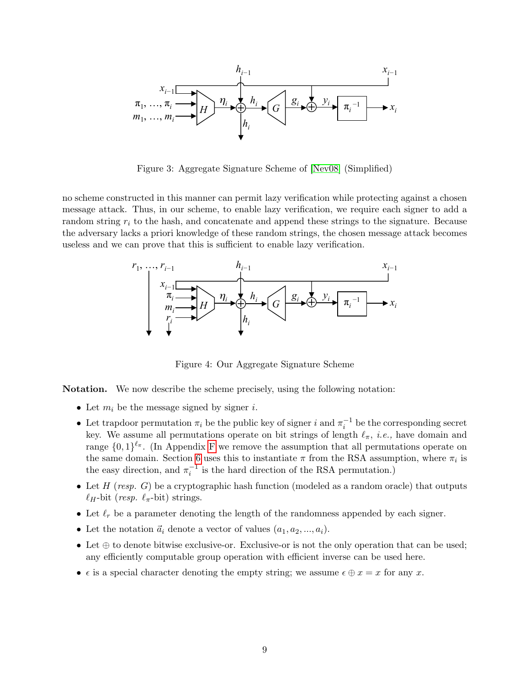

*Figure 3: Aggregate Signature Scheme of [\[Nev08\]](#page-20-1) (Simplified) hi*<sup>*x*</sup> *hi*<sup>*z*</sup> *hi*<sup>*z*</sup> *hi*<sup>*z*</sup> *hi*<sup>*z*</sup> *h*<sup>*z*</sup> *h*<sup>*z*</sup> *h*<sup>*z*</sup> *h*<sup>*z*</sup> *h*<sup>*z*</sup> *h*<sup>*z*</sup> *h*<sup>*z*</sup> *h*<sup>*z*</sup> *h*<sup>*z*</sup> *h*<sup>*z*</sup> *h*<sup>*z*</sup> *h*<sup>*z*</sup> *h*<sup>*z*</sup> *h*<sup>*z*</sup> *h*<sup>*z*</sup> *h*<sup>*z*</sup> *h*<sup>*z*</sup> *h*<sup>*z*</sup> *h*<sup>*z*</sup>

no scheme constructed in this manner can permit lazy verification while protecting against a chosen<br>message attack. Thus, in our scheme, to enable lazy verification, we require each signer to add a<br>random string r: to the  $\frac{1}{n}$  *i*  $\frac{1}{n}$   $\frac{1}{n}$   $\frac{1}{n}$   $\frac{1}{n}$   $\frac{1}{n}$   $\frac{1}{n}$   $\frac{1}{n}$   $\frac{1}{n}$   $\frac{1}{n}$   $\frac{1}{n}$   $\frac{1}{n}$   $\frac{1}{n}$   $\frac{1}{n}$   $\frac{1}{n}$   $\frac{1}{n}$   $\frac{1}{n}$   $\frac{1}{n}$   $\frac{1}{n}$   $\frac{1}{n}$   $\frac{1}{n}$   $\frac{1}{n$ the adversary lacks a priori knowledge of these random strings, the chosen message attack becomes  $\frac{1}{2}$  *no* scheme constructed in this manner can permit lazy verification while protecting against a chosen useless and we can prove that this is sufficient to enable lazy verification. *hi* 



Figure 4: Our Aggregate Signature Scheme

Notation. We now describe the scheme precisely, using the following notation:

- Let  $m_i$  be the message signed by signer *i*.
- Let trapdoor permutation  $\pi_i$  be the public key of signer i and  $\pi_i^{-1}$  be the corresponding secret key. We assume all permutations operate on bit strings of length  $\ell_{\pi}$ , *i.e.*, have domain and range  $\{0,1\}^{\ell_{\pi}}$ . (In Appendix [F](#page-29-1) we remove the assumption that all permutations operate on the same domain. Section [6](#page-16-0) uses this to instantiate  $\pi$  from the RSA assumption, where  $\pi_i$  is the easy direction, and  $\pi_i^{-1}$  is the hard direction of the RSA permutation.)
- Let  $H$  (resp.  $G$ ) be a cryptographic hash function (modeled as a random oracle) that outputs  $\ell_H$ -bit (resp.  $\ell_{\pi}$ -bit) strings.
- Let  $\ell_r$  be a parameter denoting the length of the randomness appended by each signer.
- Let the notation  $\vec{a}_i$  denote a vector of values  $(a_1, a_2, ..., a_i)$ .
- Let ⊕ to denote bitwise exclusive-or. Exclusive-or is not the only operation that can be used; any efficiently computable group operation with efficient inverse can be used here.
- $\epsilon$  is a special character denoting the empty string; we assume  $\epsilon \oplus x = x$  for any x.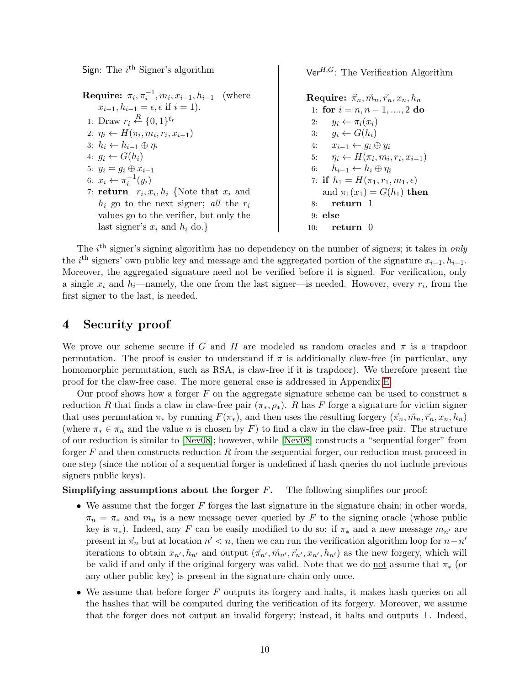Sign: The  $i^{\text{th}}$  Signer's algorithm

Ver $^{H,G}$ : The Verification Algorithm

**Require:**  $\pi_i$ ,  $\pi_i^{-1}$ ,  $m_i$ ,  $x_{i-1}$ ,  $h_{i-1}$  (where  $x_{i-1}, h_{i-1} = \epsilon, \epsilon \text{ if } i = 1$ . 1: Draw  $r_i \stackrel{R}{\leftarrow} \{0,1\}^{\ell_r}$ 2:  $\eta_i \leftarrow H(\pi_i, m_i, r_i, x_{i-1})$ 3:  $h_i \leftarrow h_{i-1} \oplus \eta_i$ 4:  $g_i \leftarrow G(h_i)$ 5:  $y_i = g_i \oplus x_{i-1}$ 6:  $x_i \leftarrow \pi_i^{-1}(y_i)$ 7: **return**  $r_i, x_i, h_i$  {Note that  $x_i$  and  $h_i$  go to the next signer; all the  $r_i$ 

<span id="page-10-2"></span>values go to the verifier, but only the last signer's  $x_i$  and  $h_i$  do.}

<span id="page-10-3"></span><span id="page-10-1"></span>Require:  $\vec{\pi}_n, \vec{m}_n, \vec{r}_n, x_n, h_n$ 1: for  $i = n, n - 1, ..., 2$  do 2:  $y_i \leftarrow \pi_i(x_i)$ 3:  $g_i \leftarrow G(h_i)$ 4:  $x_{i-1} \leftarrow g_i \oplus y_i$ 5:  $\eta_i \leftarrow H(\pi_i, m_i, r_i, x_{i-1})$ 6:  $h_{i-1} \leftarrow h_i \oplus \eta_i$ 7: if  $h_1 = H(\pi_1, r_1, m_1, \epsilon)$ and  $\pi_1(x_1) = G(h_1)$  then 8: return 1 9: else 10: return 0

The  $i<sup>th</sup>$  signer's signing algorithm has no dependency on the number of signers; it takes in only the i<sup>th</sup> signers' own public key and message and the aggregated portion of the signature  $x_{i-1}, h_{i-1}$ . Moreover, the aggregated signature need not be verified before it is signed. For verification, only a single  $x_i$  and  $h_i$ —namely, the one from the last signer—is needed. However, every  $r_i$ , from the first signer to the last, is needed.

# <span id="page-10-0"></span>4 Security proof

We prove our scheme secure if G and H are modeled as random oracles and  $\pi$  is a trapdoor permutation. The proof is easier to understand if  $\pi$  is additionally claw-free (in particular, any homomorphic permutation, such as RSA, is claw-free if it is trapdoor). We therefore present the proof for the claw-free case. The more general case is addressed in Appendix [E.](#page-29-0)

Our proof shows how a forger  $F$  on the aggregate signature scheme can be used to construct a reduction R that finds a claw in claw-free pair  $(\pi_*, \rho_*)$ . R has F forge a signature for victim signer that uses permutation  $\pi_*$  by running  $F(\pi_*)$ , and then uses the resulting forgery  $(\vec{\pi}_n, \vec{m}_n, \vec{r}_n, x_n, h_n)$ (where  $\pi_* \in \pi_n$  and the value n is chosen by F) to find a claw in the claw-free pair. The structure of our reduction is similar to [\[Nev08\]](#page-20-1); however, while [\[Nev08\]](#page-20-1) constructs a "sequential forger" from forger  $F$  and then constructs reduction  $R$  from the sequential forger, our reduction must proceed in one step (since the notion of a sequential forger is undefined if hash queries do not include previous signers public keys).

#### **Simplifying assumptions about the forger**  $F$ **.** The following simplifies our proof:

- We assume that the forger  $F$  forges the last signature in the signature chain; in other words,  $\pi_n = \pi_*$  and  $m_n$  is a new message never queried by F to the signing oracle (whose public key is  $\pi_*$ ). Indeed, any F can be easily modified to do so: if  $\pi_*$  and a new message  $m_{n'}$  are present in  $\vec{\pi}_n$  but at location  $n' < n$ , then we can run the verification algorithm loop for  $n - n'$ iterations to obtain  $x_{n'}, h_{n'}$  and output  $({\vec \pi}_{n'}, {\vec m}_{n'}, {\vec r}_{n'}, x_{n'}, h_{n'})$  as the new forgery, which will be valid if and only if the original forgery was valid. Note that we do not assume that  $\pi_*$  (or any other public key) is present in the signature chain only once.
- We assume that before forger  $F$  outputs its forgery and halts, it makes hash queries on all the hashes that will be computed during the verification of its forgery. Moreover, we assume that the forger does not output an invalid forgery; instead, it halts and outputs ⊥. Indeed,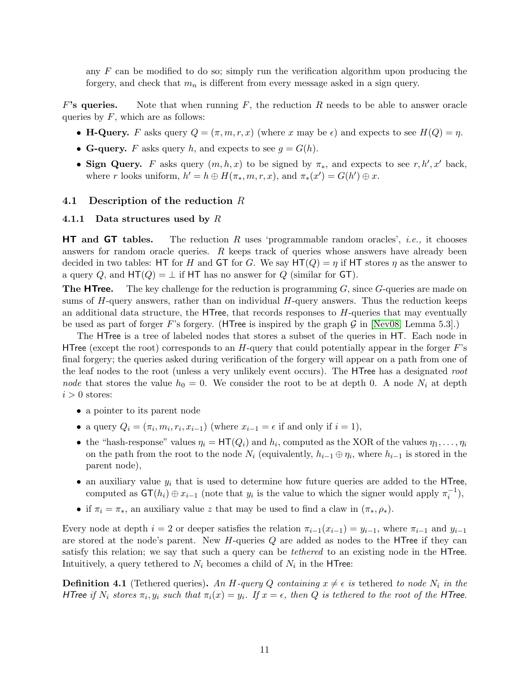any  $F$  can be modified to do so; simply run the verification algorithm upon producing the forgery, and check that  $m_n$  is different from every message asked in a sign query.

F's queries. Note that when running  $F$ , the reduction  $R$  needs to be able to answer oracle queries by  $F$ , which are as follows:

- H-Query. F asks query  $Q = (\pi, m, r, x)$  (where x may be  $\epsilon$ ) and expects to see  $H(Q) = \eta$ .
- G-query. F asks query h, and expects to see  $q = G(h)$ .
- Sign Query. F asks query  $(m, h, x)$  to be signed by  $\pi_*$ , and expects to see r, h', x' back, where r looks uniform,  $h' = h \oplus H(\pi_*, m, r, x)$ , and  $\pi_*(x') = G(h') \oplus x$ .

#### <span id="page-11-0"></span>4.1 Description of the reduction R

#### <span id="page-11-1"></span>4.1.1 Data structures used by  $R$

**HT** and **GT** tables. The reduction R uses 'programmable random oracles', *i.e.*, it chooses answers for random oracle queries. R keeps track of queries whose answers have already been decided in two tables: HT for H and GT for G. We say  $HT(Q) = \eta$  if HT stores  $\eta$  as the answer to a query Q, and  $HT(Q) = \perp$  if HT has no answer for Q (similar for GT).

**The HTree.** The key challenge for the reduction is programming  $G$ , since  $G$ -queries are made on sums of  $H$ -query answers, rather than on individual  $H$ -query answers. Thus the reduction keeps an additional data structure, the  $HTree$ , that records responses to  $H$ -queries that may eventually be used as part of forger F's forgery. (HTree is inspired by the graph G in [\[Nev08,](#page-20-1) Lemma 5.3].)

The HTree is a tree of labeled nodes that stores a subset of the queries in HT. Each node in HTree (except the root) corresponds to an  $H$ -query that could potentially appear in the forger  $F$ 's final forgery; the queries asked during verification of the forgery will appear on a path from one of the leaf nodes to the root (unless a very unlikely event occurs). The HTree has a designated root node that stores the value  $h_0 = 0$ . We consider the root to be at depth 0. A node  $N_i$  at depth  $i > 0$  stores:

- a pointer to its parent node
- a query  $Q_i = (\pi_i, m_i, r_i, x_{i-1})$  (where  $x_{i-1} = \epsilon$  if and only if  $i = 1$ ),
- the "hash-response" values  $\eta_i = \text{HT}(Q_i)$  and  $h_i$ , computed as the XOR of the values  $\eta_1, \ldots, \eta_i$ on the path from the root to the node  $N_i$  (equivalently,  $h_{i-1} \oplus \eta_i$ , where  $h_{i-1}$  is stored in the parent node),
- an auxiliary value  $y_i$  that is used to determine how future queries are added to the HTree, computed as  $\mathsf{GT}(h_i) \oplus x_{i-1}$  (note that  $y_i$  is the value to which the signer would apply  $\pi_i^{-1}$ ),
- if  $\pi_i = \pi_*$ , an auxiliary value z that may be used to find a claw in  $(\pi_*, \rho_*)$ .

Every node at depth  $i = 2$  or deeper satisfies the relation  $\pi_{i-1}(x_{i-1}) = y_{i-1}$ , where  $\pi_{i-1}$  and  $y_{i-1}$ are stored at the node's parent. New  $H$ -queries  $Q$  are added as nodes to the HTree if they can satisfy this relation; we say that such a query can be *tethered* to an existing node in the HTree. Intuitively, a query tethered to  $N_i$  becomes a child of  $N_i$  in the HTree:

<span id="page-11-2"></span>**Definition 4.1** (Tethered queries). An H-query Q containing  $x \neq \epsilon$  is tethered to node  $N_i$  in the HTree if  $N_i$  stores  $\pi_i, y_i$  such that  $\pi_i(x) = y_i$ . If  $x = \epsilon$ , then Q is tethered to the root of the HTree.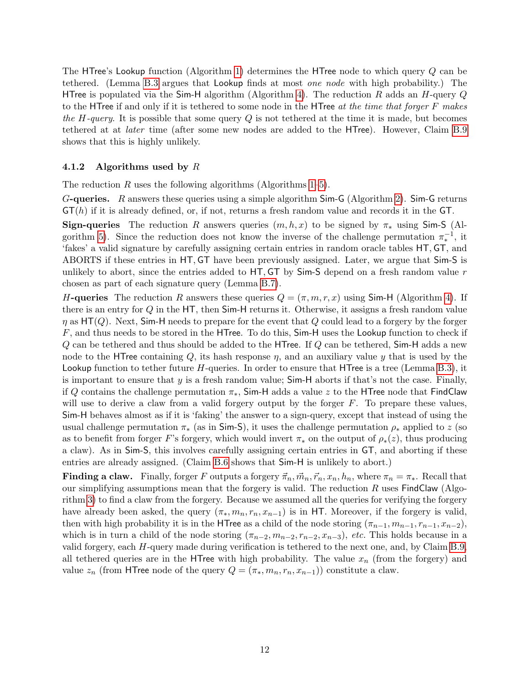The HTree's Lookup function (Algorithm [1\)](#page-13-0) determines the HTree node to which query Q can be tethered. (Lemma [B.3](#page-24-1) argues that Lookup finds at most one node with high probability.) The HTree is populated via the Sim-H algorithm (Algorithm [4\)](#page-13-1). The reduction R adds an H-query  $Q$ to the HTree if and only if it is tethered to some node in the HTree *at the time that forger F makes* the H-query. It is possible that some query  $Q$  is not tethered at the time it is made, but becomes tethered at at later time (after some new nodes are added to the HTree). However, Claim [B.9](#page-26-1) shows that this is highly unlikely.

#### <span id="page-12-0"></span>4.1.2 Algorithms used by  $R$

The reduction R uses the following algorithms (Algorithms  $1-5$ ).

G-queries. R answers these queries using a simple algorithm  $Sim-G$  (Algorithm [2\)](#page-13-3). Sim-G returns  $GT(h)$  if it is already defined, or, if not, returns a fresh random value and records it in the  $GT$ .

Sign-queries The reduction R answers queries  $(m, h, x)$  to be signed by  $\pi_*$  using Sim-S (Al-gorithm [5\)](#page-13-2). Since the reduction does not know the inverse of the challenge permutation  $\pi_*^{-1}$ , it 'fakes' a valid signature by carefully assigning certain entries in random oracle tables HT, GT, and ABORTS if these entries in HT, GT have been previously assigned. Later, we argue that Sim-S is unlikely to abort, since the entries added to  $HT$ ,  $GT$  by  $Sim-S$  depend on a fresh random value r chosen as part of each signature query (Lemma [B.7\)](#page-25-0).

H-queries The reduction R answers these queries  $Q = (\pi, m, r, x)$  using Sim-H (Algorithm [4\)](#page-13-1). If there is an entry for Q in the HT, then Sim-H returns it. Otherwise, it assigns a fresh random value  $\eta$  as HT(Q). Next, Sim-H needs to prepare for the event that Q could lead to a forgery by the forger  $F$ , and thus needs to be stored in the HTree. To do this,  $Sim-H$  uses the Lookup function to check if Q can be tethered and thus should be added to the HTree. If Q can be tethered, Sim-H adds a new node to the HTree containing  $Q$ , its hash response  $\eta$ , and an auxiliary value y that is used by the Lookup function to tether future  $H$ -queries. In order to ensure that HTree is a tree (Lemma [B.3\)](#page-24-1), it is important to ensure that  $y$  is a fresh random value; Sim-H aborts if that's not the case. Finally, if Q contains the challenge permutation  $\pi_*$ , Sim-H adds a value z to the HTree node that FindClaw will use to derive a claw from a valid forgery output by the forger  $F$ . To prepare these values, Sim-H behaves almost as if it is 'faking' the answer to a sign-query, except that instead of using the usual challenge permutation  $\pi_*$  (as in Sim-S), it uses the challenge permutation  $\rho_*$  applied to z (so as to benefit from forger F's forgery, which would invert  $\pi_*$  on the output of  $\rho_*(z)$ , thus producing a claw). As in Sim-S, this involves carefully assigning certain entries in GT, and aborting if these entries are already assigned. (Claim [B.6](#page-25-1) shows that Sim-H is unlikely to abort.)

**Finding a claw.** Finally, forger F outputs a forgery  $\vec{\pi}_n, \vec{m}_n, \vec{r}_n, x_n, h_n$ , where  $\pi_n = \pi_*$ . Recall that our simplifying assumptions mean that the forgery is valid. The reduction  $R$  uses FindClaw (Algorithm [3\)](#page-13-4) to find a claw from the forgery. Because we assumed all the queries for verifying the forgery have already been asked, the query  $(\pi_*, m_n, r_n, x_{n-1})$  is in HT. Moreover, if the forgery is valid, then with high probability it is in the HTree as a child of the node storing  $(\pi_{n-1}, m_{n-1}, r_{n-1}, x_{n-2})$ , which is in turn a child of the node storing  $(\pi_{n-2}, m_{n-2}, r_{n-2}, x_{n-3})$ , *etc.* This holds because in a valid forgery, each H-query made during verification is tethered to the next one, and, by Claim [B.9,](#page-26-1) all tethered queries are in the HTree with high probability. The value  $x_n$  (from the forgery) and value  $z_n$  (from HTree node of the query  $Q = (\pi_*, m_n, r_n, x_{n-1})$ ) constitute a claw.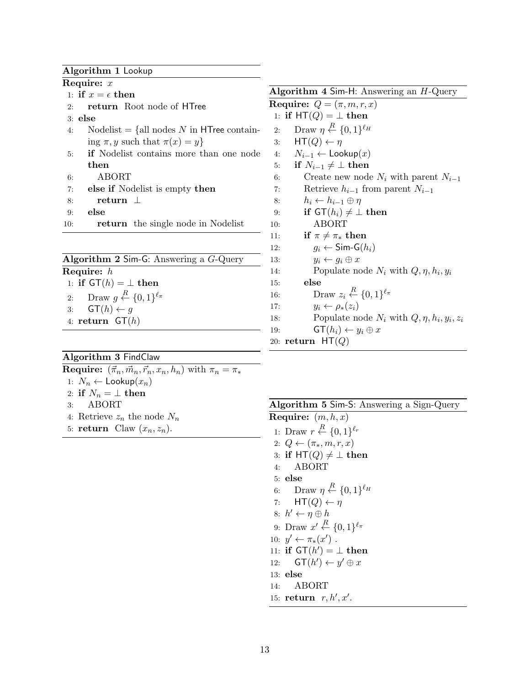#### Algorithm 1 Lookup

<span id="page-13-11"></span><span id="page-13-0"></span>Require: x 1: if  $x = \epsilon$  then 2: return Root node of HTree 3: else 4: Nodelist  $=$  {all nodes N in HTree containing  $\pi, y$  such that  $\pi(x) = y$ 5: if Nodelist contains more than one node then 6: ABORT 7: else if Nodelist is empty then 8: return ⊥ 9: else 10: return the single node in Nodelist

<span id="page-13-16"></span><span id="page-13-3"></span>

| Algorithm 2 Sim-G: Answering a $G$ -Query                 |  |  |  |  |  |  |
|-----------------------------------------------------------|--|--|--|--|--|--|
| Require: $h$                                              |  |  |  |  |  |  |
| 1: if $GT(h) = \perp$ then                                |  |  |  |  |  |  |
| 2: Draw $g \stackrel{R}{\leftarrow} \{0,1\}^{\ell_{\pi}}$ |  |  |  |  |  |  |
| 3: $GT(h) \leftarrow g$                                   |  |  |  |  |  |  |
| 4: return $GT(h)$                                         |  |  |  |  |  |  |
|                                                           |  |  |  |  |  |  |

Algorithm 3 FindClaw

<span id="page-13-9"></span><span id="page-13-4"></span>**Require:**  $(\vec{\pi}_n, \vec{m}_n, \vec{r}_n, x_n, h_n)$  with  $\pi_n = \pi_*$ 1:  $N_n \leftarrow \textsf{Lookup}(x_n)$ 2: if  $N_n = \perp$  then 3: ABORT 4: Retrieve  $z_n$  the node  $N_n$ 5: return Claw  $(x_n, z_n)$ .

<span id="page-13-1"></span>Algorithm 4 Sim-H: Answering an H-Query Require:  $Q = (\pi, m, r, x)$ 1: if  $HT(Q) = \perp$  then 2: Draw  $\eta \stackrel{R}{\leftarrow} \{0,1\}^{\ell_H}$ 3:  $HT(Q) \leftarrow \eta$ 

4:  $N_{i-1}$  ← Lookup $(x)$ 

- 5: if  $N_{i-1} \neq \perp$  then
- 6: Create new node  $N_i$  with parent  $N_{i-1}$
- 7: Retrieve  $h_{i-1}$  from parent  $N_{i-1}$
- 8:  $h_i \leftarrow h_{i-1} \oplus \eta$
- 9: if  $GT(h_i) \neq \perp$  then
- <span id="page-13-7"></span>10: ABORT
- 11: if  $\pi \neq \pi_*$  then
- 12:  $g_i \leftarrow \textsf{Sim-G}(h_i)$
- 13:  $y_i \leftarrow g_i \oplus x$
- 14: Populate node  $N_i$  with  $Q, \eta, h_i, y_i$
- <span id="page-13-13"></span><span id="page-13-6"></span>15: else 16: Draw  $z_i \stackrel{R}{\leftarrow} \{0,1\}^{\ell_\pi}$ 
	-
- 17:  $y_i \leftarrow \rho_*(z_i)$
- 18: Populate node  $N_i$  with  $Q, \eta, h_i, y_i, z_i$
- 19:  $\mathsf{GT}(h_i) \leftarrow y_i \oplus x$
- 20: return  $HT(Q)$

<span id="page-13-10"></span>

| Algorithm 5 Sim-S: Answering a Sign-Query |  |  |  |  |  |  |  |
|-------------------------------------------|--|--|--|--|--|--|--|
|-------------------------------------------|--|--|--|--|--|--|--|

<span id="page-13-15"></span><span id="page-13-14"></span><span id="page-13-12"></span><span id="page-13-8"></span><span id="page-13-5"></span><span id="page-13-2"></span>Require:  $(m, h, x)$ 1: Draw  $r \stackrel{R}{\leftarrow} \{0,1\}^{\ell_r}$ 2:  $Q \leftarrow (\pi_*, m, r, x)$ 3: if  $HT(Q) \neq \perp$  then 4: ABORT 5: else 6: Draw  $\eta \stackrel{R}{\leftarrow} \{0,1\}^{\ell_H}$ 7:  $HT(Q) \leftarrow \eta$ 8:  $h' \leftarrow \eta \oplus h$ 9: Draw  $x' \stackrel{R}{\leftarrow} \{0,1\}^{\ell_\pi}$ 10:  $y' \leftarrow \pi_*(x')$ . 11: if  $GT(h') = \bot$  then 12:  $\mathsf{GT}(h') \leftarrow y' \oplus x$ 13: else 14: ABORT 15: return  $r, h', x'$ .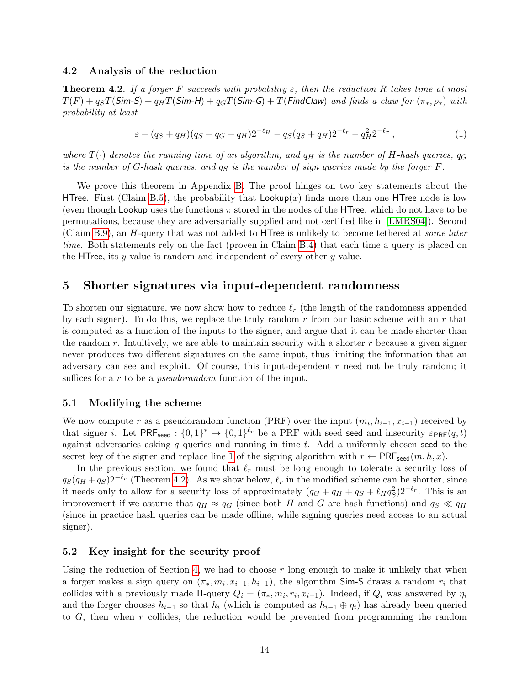#### <span id="page-14-0"></span>4.2 Analysis of the reduction

<span id="page-14-4"></span>**Theorem 4.2.** If a forger F succeeds with probability  $\varepsilon$ , then the reduction R takes time at most  $T(F) + q_{S}T(Sim-S) + q_{H}T(Sim-H) + q_{G}T(Sim-G) + T(FindClaw)$  and finds a claw for  $(\pi_{*}, \rho_{*})$  with probability at least

$$
\varepsilon - (q_S + q_H)(q_S + q_G + q_H)2^{-\ell_H} - q_S(q_S + q_H)2^{-\ell_r} - q_H^2 2^{-\ell_\pi},\tag{1}
$$

where  $T(\cdot)$  denotes the running time of an algorithm, and  $q_H$  is the number of H-hash queries,  $q_G$ is the number of G-hash queries, and  $q_S$  is the number of sign queries made by the forger  $F$ .

We prove this theorem in Appendix [B.](#page-23-0) The proof hinges on two key statements about the HTree. First (Claim [B.5\)](#page-24-2), the probability that  $\textsf{Lookup}(x)$  finds more than one HTree node is low (even though Lookup uses the functions  $\pi$  stored in the nodes of the HTree, which do not have to be permutations, because they are adversarially supplied and not certified like in [\[LMRS04\]](#page-20-0)). Second (Claim [B.9\)](#page-26-1), an H-query that was not added to HTree is unlikely to become tethered at some later time. Both statements rely on the fact (proven in Claim [B.4\)](#page-24-3) that each time a query is placed on the HTree, its  $y$  value is random and independent of every other  $y$  value.

### <span id="page-14-1"></span>5 Shorter signatures via input-dependent randomness

To shorten our signature, we now show how to reduce  $\ell_r$  (the length of the randomness appended by each signer). To do this, we replace the truly random  $r$  from our basic scheme with an  $r$  that is computed as a function of the inputs to the signer, and argue that it can be made shorter than the random  $r$ . Intuitively, we are able to maintain security with a shorter  $r$  because a given signer never produces two different signatures on the same input, thus limiting the information that an adversary can see and exploit. Of course, this input-dependent  $r$  need not be truly random; it suffices for a r to be a *pseudorandom* function of the input.

#### <span id="page-14-2"></span>5.1 Modifying the scheme

We now compute r as a pseudorandom function (PRF) over the input  $(m_i, h_{i-1}, x_{i-1})$  received by that signer *i*. Let  $PRF_{seed}$ :  $\{0,1\}^* \to \{0,1\}^{\ell_r}$  be a PRF with seed seed and insecurity  $\varepsilon_{PRF}(q,t)$ against adversaries asking  $q$  queries and running in time t. Add a uniformly chosen seed to the secret key of the signer and replace line [1](#page-10-1) of the signing algorithm with  $r \leftarrow \text{PRF}_{\text{seed}}(m, h, x)$ .

In the previous section, we found that  $\ell_r$  must be long enough to tolerate a security loss of  $q_S(q_H + q_S)2^{-\ell_r}$  (Theorem [4.2\)](#page-14-4). As we show below,  $\ell_r$  in the modified scheme can be shorter, since it needs only to allow for a security loss of approximately  $(q_G + q_H + q_S + \ell_H q_S^2) 2^{-\ell_r}$ . This is an improvement if we assume that  $q_H \approx q_G$  (since both H and G are hash functions) and  $q_S \ll q_H$ (since in practice hash queries can be made offline, while signing queries need access to an actual signer).

#### <span id="page-14-3"></span>5.2 Key insight for the security proof

Using the reduction of Section [4,](#page-10-0) we had to choose  $r$  long enough to make it unlikely that when a forger makes a sign query on  $(\pi_*, m_i, x_{i-1}, h_{i-1})$ , the algorithm Sim-S draws a random  $r_i$  that collides with a previously made H-query  $Q_i = (\pi_*, m_i, r_i, x_{i-1})$ . Indeed, if  $Q_i$  was answered by  $\eta_i$ and the forger chooses  $h_{i-1}$  so that  $h_i$  (which is computed as  $h_{i-1} \oplus \eta_i$ ) has already been queried to G, then when r collides, the reduction would be prevented from programming the random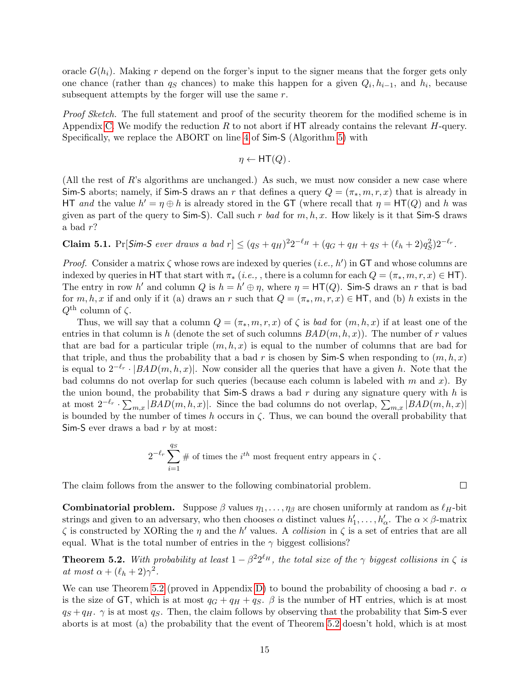oracle  $G(h_i)$ . Making r depend on the forger's input to the signer means that the forger gets only one chance (rather than  $q_S$  chances) to make this happen for a given  $Q_i, h_{i-1}$ , and  $h_i$ , because subsequent attempts by the forger will use the same r.

Proof Sketch. The full statement and proof of the security theorem for the modified scheme is in Appendix [C.](#page-26-0) We modify the reduction R to not abort if  $HT$  already contains the relevant H-query. Specifically, we replace the ABORT on line [4](#page-13-5) of Sim-S (Algorithm [5\)](#page-13-2) with

$$
\eta \leftarrow \text{HT}(Q) \, .
$$

(All the rest of R's algorithms are unchanged.) As such, we must now consider a new case where Sim-S aborts; namely, if Sim-S draws an r that defines a query  $Q = (\pi_*, m, r, x)$  that is already in HT and the value  $h' = \eta \oplus h$  is already stored in the GT (where recall that  $\eta = HT(Q)$  and h was given as part of the query to Sim-S). Call such r bad for  $m, h, x$ . How likely is it that Sim-S draws a bad r?

<span id="page-15-1"></span>**Claim 5.1.** Pr[Sim-S ever draws a bad  $r$ ]  $\leq (q_S + q_H)^2 2^{-\ell_H} + (q_G + q_H + q_S + (\ell_h + 2)q_S^2) 2^{-\ell_r}$ .

*Proof.* Consider a matrix  $\zeta$  whose rows are indexed by queries  $(i.e., h')$  in GT and whose columns are indexed by queries in HT that start with  $\pi_*$  (*i.e.*, , there is a column for each  $Q = (\pi_*, m, r, x) \in$  HT). The entry in row h' and column Q is  $h = h' \oplus \eta$ , where  $\eta = HT(Q)$ . Sim-S draws an r that is bad for m, h, x if and only if it (a) draws an r such that  $Q = (\pi_*, m, r, x) \in \mathsf{HT}$ , and (b) h exists in the  $Q^{\text{th}}$  column of  $\zeta$ .

Thus, we will say that a column  $Q = (\pi_*, m, r, x)$  of  $\zeta$  is bad for  $(m, h, x)$  if at least one of the entries in that column is h (denote the set of such columns  $BAD(m, h, x)$ ). The number of r values that are bad for a particular triple  $(m, h, x)$  is equal to the number of columns that are bad for that triple, and thus the probability that a bad r is chosen by  $\mathsf{Sim\text{-}S}$  when responding to  $(m, h, x)$ is equal to  $2^{-\ell_r} \cdot | BAD(m, h, x)|$ . Now consider all the queries that have a given h. Note that the bad columns do not overlap for such queries (because each column is labeled with m and x). By the union bound, the probability that  $Sim-S$  draws a bad r during any signature query with h is at most  $2^{-\ell_r} \cdot \sum_{m,x} |BAD(m,h,x)|$ . Since the bad columns do not overlap,  $\sum_{m,x} |BAD(m,h,x)|$ is bounded by the number of times h occurs in  $\zeta$ . Thus, we can bound the overall probability that Sim-S ever draws a bad  $r$  by at most:

$$
2^{-\ell_r} \sum_{i=1}^{q_S} \# \text{ of times the } i^{th} \text{ most frequent entry appears in } \zeta.
$$

The claim follows from the answer to the following combinatorial problem.

**Combinatorial problem.** Suppose  $\beta$  values  $\eta_1, \ldots, \eta_\beta$  are chosen uniformly at random as  $\ell_H$ -bit strings and given to an adversary, who then chooses  $\alpha$  distinct values  $h'_1, \ldots, h'_\alpha$ . The  $\alpha \times \beta$ -matrix  $\zeta$  is constructed by XORing the  $\eta$  and the h' values. A collision in  $\zeta$  is a set of entries that are all equal. What is the total number of entries in the  $\gamma$  biggest collisions?

<span id="page-15-0"></span>**Theorem 5.2.** With probability at least  $1 - \beta^2 2^{\ell_H}$ , the total size of the  $\gamma$  biggest collisions in  $\zeta$  is at most  $\alpha + (\ell_h + 2)\gamma^2$ .

We can use Theorem [5.2](#page-15-0) (proved in Appendix [D\)](#page-27-0) to bound the probability of choosing a bad r.  $\alpha$ is the size of GT, which is at most  $q_G + q_H + q_S$ .  $\beta$  is the number of HT entries, which is at most  $q_S + q_H$ .  $\gamma$  is at most  $q_S$ . Then, the claim follows by observing that the probability that Sim-S ever aborts is at most (a) the probability that the event of Theorem [5.2](#page-15-0) doesn't hold, which is at most

 $\Box$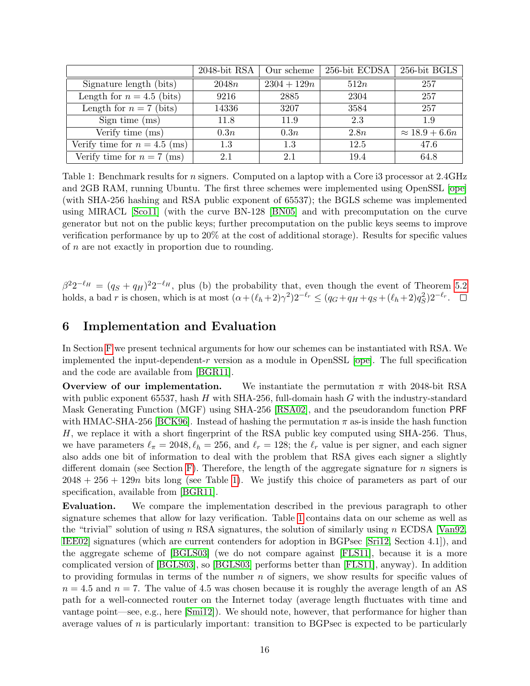<span id="page-16-1"></span>

|                                | 2048-bit RSA | Our scheme    | 256-bit ECDSA | 256-bit BGLS          |
|--------------------------------|--------------|---------------|---------------|-----------------------|
| Signature length (bits)        | 2048n        | $2304 + 129n$ | 512n          | 257                   |
| Length for $n = 4.5$ (bits)    | 9216         | 2885          | 2304          | 257                   |
| Length for $n = 7$ (bits)      | 14336        | 3207          | 3584          | 257                   |
| Sign time $(ms)$               | 11.8         | 11.9          | 2.3           | 1.9                   |
| Verify time (ms)               | 0.3n         | 0.3n          | 2.8n          | $\approx 18.9 + 6.6n$ |
| Verify time for $n = 4.5$ (ms) | 1.3          | 1.3           | 12.5          | 47.6                  |
| Verify time for $n = 7$ (ms)   | 2.1          | 2.1           | 19.4          | 64.8                  |

Table 1: Benchmark results for *n* signers. Computed on a laptop with a Core i3 processor at 2.4GHz and 2GB RAM, running Ubuntu. The first three schemes were implemented using OpenSSL [\[ope\]](#page-21-6) (with SHA-256 hashing and RSA public exponent of 65537); the BGLS scheme was implemented using MIRACL [\[Sco11\]](#page-21-7) (with the curve BN-128 [\[BN05\]](#page-18-9) and with precomputation on the curve generator but not on the public keys; further precomputation on the public keys seems to improve verification performance by up to 20% at the cost of additional storage). Results for specific values of n are not exactly in proportion due to rounding.

 $\beta^2 2^{-\ell_H} = (q_S + q_H)^2 2^{-\ell_H}$ , plus (b) the probability that, even though the event of Theorem [5.2](#page-15-0) holds, a bad r is chosen, which is at most  $(\alpha + (\ell_h + 2)\gamma^2)2^{-\ell_r} \leq (q_G + q_H + q_S + (\ell_h + 2)q_S^2)2^{-\ell_r}$ .

# <span id="page-16-0"></span>6 Implementation and Evaluation

In Section [F](#page-29-1) we present technical arguments for how our schemes can be instantiated with RSA. We implemented the input-dependent-r version as a module in OpenSSL [\[ope\]](#page-21-6). The full specification and the code are available from [\[BGR11\]](#page-18-7).

**Overview of our implementation.** We instantiate the permutation  $\pi$  with 2048-bit RSA with public exponent 65537, hash H with SHA-256, full-domain hash G with the industry-standard Mask Generating Function (MGF) using SHA-256 [\[RSA02\]](#page-21-8), and the pseudorandom function PRF with HMAC-SHA-256 [\[BCK96\]](#page-18-10). Instead of hashing the permutation  $\pi$  as-is inside the hash function H, we replace it with a short fingerprint of the RSA public key computed using SHA-256. Thus, we have parameters  $\ell_{\pi} = 2048, \ell_h = 256$ , and  $\ell_r = 128$ ; the  $\ell_r$  value is per signer, and each signer also adds one bit of information to deal with the problem that RSA gives each signer a slightly different domain (see Section [F\)](#page-29-1). Therefore, the length of the aggregate signature for  $n$  signers is  $2048 + 256 + 129n$  bits long (see Table [1\)](#page-16-1). We justify this choice of parameters as part of our specification, available from [\[BGR11\]](#page-18-7).

Evaluation. We compare the implementation described in the previous paragraph to other signature schemes that allow for lazy verification. Table [1](#page-16-1) contains data on our scheme as well as the "trivial" solution of using n RSA signatures, the solution of similarly using n ECDSA [\[Van92,](#page-21-9) [IEE02\]](#page-20-12) signatures (which are current contenders for adoption in BGPsec [\[Sri12,](#page-21-2) Section 4.1]), and the aggregate scheme of [\[BGLS03\]](#page-18-1) (we do not compare against [\[FLS11\]](#page-19-0), because it is a more complicated version of [\[BGLS03\]](#page-18-1), so [\[BGLS03\]](#page-18-1) performs better than [\[FLS11\]](#page-19-0), anyway). In addition to providing formulas in terms of the number  $n$  of signers, we show results for specific values of  $n = 4.5$  and  $n = 7$ . The value of 4.5 was chosen because it is roughly the average length of an AS path for a well-connected router on the Internet today (average length fluctuates with time and vantage point—see, e.g., here [\[Smi12\]](#page-21-10)). We should note, however, that performance for higher than average values of  $n$  is particularly important: transition to BGPsec is expected to be particularly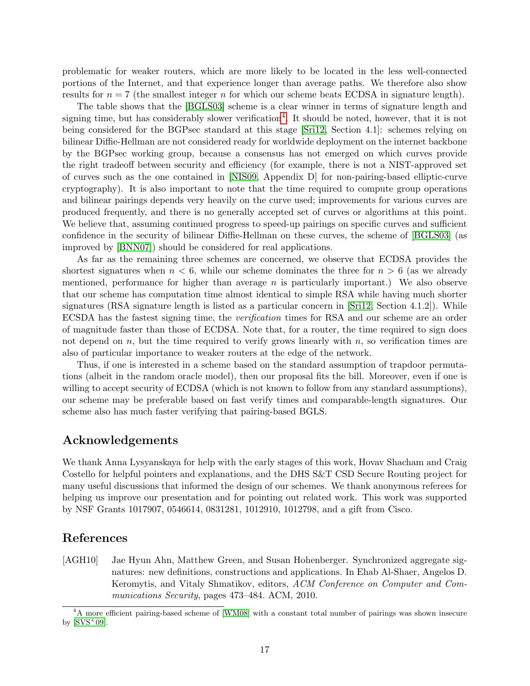problematic for weaker routers, which are more likely to be located in the less well-connected portions of the Internet, and that experience longer than average paths. We therefore also show results for  $n = 7$  (the smallest integer n for which our scheme beats ECDSA in signature length).

The table shows that the [\[BGLS03\]](#page-18-1) scheme is a clear winner in terms of signature length and signing time, but has considerably slower verification<sup>[4](#page-17-1)</sup>. It should be noted, however, that it is not being considered for the BGPsec standard at this stage [\[Sri12,](#page-21-2) Section 4.1]: schemes relying on bilinear Diffie-Hellman are not considered ready for worldwide deployment on the internet backbone by the BGPsec working group, because a consensus has not emerged on which curves provide the right tradeoff between security and efficiency (for example, there is not a NIST-approved set of curves such as the one contained in [\[NIS09,](#page-20-13) Appendix D] for non-pairing-based elliptic-curve cryptography). It is also important to note that the time required to compute group operations and bilinear pairings depends very heavily on the curve used; improvements for various curves are produced frequently, and there is no generally accepted set of curves or algorithms at this point. We believe that, assuming continued progress to speed-up pairings on specific curves and sufficient confidence in the security of bilinear Diffie-Hellman on these curves, the scheme of [\[BGLS03\]](#page-18-1) (as improved by [\[BNN07\]](#page-18-3)) should be considered for real applications.

As far as the remaining three schemes are concerned, we observe that ECDSA provides the shortest signatures when  $n < 6$ , while our scheme dominates the three for  $n > 6$  (as we already mentioned, performance for higher than average  $n$  is particularly important.) We also observe that our scheme has computation time almost identical to simple RSA while having much shorter signatures (RSA signature length is listed as a particular concern in [\[Sri12,](#page-21-2) Section 4.1.2]). While ECSDA has the fastest signing time, the verification times for RSA and our scheme are an order of magnitude faster than those of ECDSA. Note that, for a router, the time required to sign does not depend on  $n$ , but the time required to verify grows linearly with  $n$ , so verification times are also of particular importance to weaker routers at the edge of the network.

Thus, if one is interested in a scheme based on the standard assumption of trapdoor permutations (albeit in the random oracle model), then our proposal fits the bill. Moreover, even if one is willing to accept security of ECDSA (which is not known to follow from any standard assumptions), our scheme may be preferable based on fast verify times and comparable-length signatures. Our scheme also has much faster verifying that pairing-based BGLS.

# Acknowledgements

We thank Anna Lysyanskaya for help with the early stages of this work, Hovav Shacham and Craig Costello for helpful pointers and explanations, and the DHS S&T CSD Secure Routing project for many useful discussions that informed the design of our schemes. We thank anonymous referees for helping us improve our presentation and for pointing out related work. This work was supported by NSF Grants 1017907, 0546614, 0831281, 1012910, 1012798, and a gift from Cisco.

# References

<span id="page-17-0"></span>[AGH10] Jae Hyun Ahn, Matthew Green, and Susan Hohenberger. Synchronized aggregate signatures: new definitions, constructions and applications. In Ehab Al-Shaer, Angelos D. Keromytis, and Vitaly Shmatikov, editors, ACM Conference on Computer and Communications Security, pages 473–484. ACM, 2010.

<span id="page-17-1"></span><sup>4</sup>A more efficient pairing-based scheme of [\[WM08\]](#page-21-11) with a constant total number of pairings was shown insecure by  $[SVS^+09]$  $[SVS^+09]$ .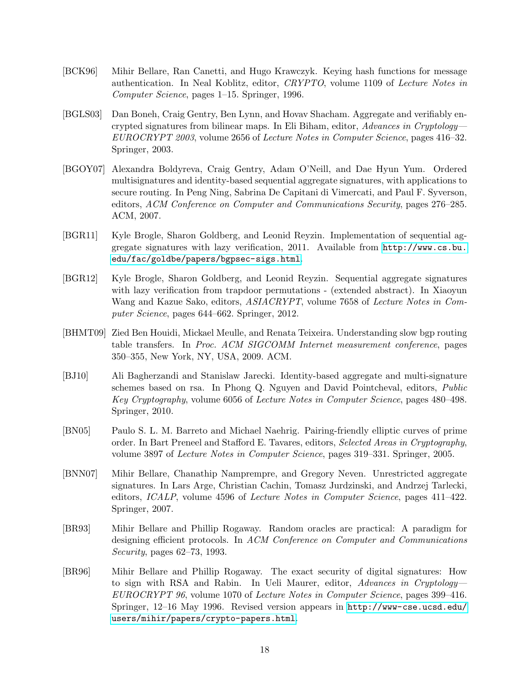- <span id="page-18-10"></span>[BCK96] Mihir Bellare, Ran Canetti, and Hugo Krawczyk. Keying hash functions for message authentication. In Neal Koblitz, editor, CRYPTO, volume 1109 of Lecture Notes in Computer Science, pages 1–15. Springer, 1996.
- <span id="page-18-1"></span>[BGLS03] Dan Boneh, Craig Gentry, Ben Lynn, and Hovav Shacham. Aggregate and verifiably encrypted signatures from bilinear maps. In Eli Biham, editor, Advances in Cryptology— EUROCRYPT 2003, volume 2656 of Lecture Notes in Computer Science, pages 416–32. Springer, 2003.
- <span id="page-18-5"></span>[BGOY07] Alexandra Boldyreva, Craig Gentry, Adam O'Neill, and Dae Hyun Yum. Ordered multisignatures and identity-based sequential aggregate signatures, with applications to secure routing. In Peng Ning, Sabrina De Capitani di Vimercati, and Paul F. Syverson, editors, ACM Conference on Computer and Communications Security, pages 276–285. ACM, 2007.
- <span id="page-18-7"></span>[BGR11] Kyle Brogle, Sharon Goldberg, and Leonid Reyzin. Implementation of sequential aggregate signatures with lazy verification, 2011. Available from [http://www.cs.bu.](http://www.cs.bu.edu/fac/goldbe/papers/bgpsec-sigs.html) [edu/fac/goldbe/papers/bgpsec-sigs.html](http://www.cs.bu.edu/fac/goldbe/papers/bgpsec-sigs.html).
- <span id="page-18-0"></span>[BGR12] Kyle Brogle, Sharon Goldberg, and Leonid Reyzin. Sequential aggregate signatures with lazy verification from trapdoor permutations - (extended abstract). In Xiaoyun Wang and Kazue Sako, editors, ASIACRYPT, volume 7658 of Lecture Notes in Computer Science, pages 644–662. Springer, 2012.
- <span id="page-18-4"></span>[BHMT09] Zied Ben Houidi, Mickael Meulle, and Renata Teixeira. Understanding slow bgp routing table transfers. In Proc. ACM SIGCOMM Internet measurement conference, pages 350–355, New York, NY, USA, 2009. ACM.
- <span id="page-18-6"></span>[BJ10] Ali Bagherzandi and Stanislaw Jarecki. Identity-based aggregate and multi-signature schemes based on rsa. In Phong Q. Nguyen and David Pointcheval, editors, Public Key Cryptography, volume 6056 of Lecture Notes in Computer Science, pages 480–498. Springer, 2010.
- <span id="page-18-9"></span>[BN05] Paulo S. L. M. Barreto and Michael Naehrig. Pairing-friendly elliptic curves of prime order. In Bart Preneel and Stafford E. Tavares, editors, Selected Areas in Cryptography, volume 3897 of Lecture Notes in Computer Science, pages 319–331. Springer, 2005.
- <span id="page-18-3"></span>[BNN07] Mihir Bellare, Chanathip Namprempre, and Gregory Neven. Unrestricted aggregate signatures. In Lars Arge, Christian Cachin, Tomasz Jurdzinski, and Andrzej Tarlecki, editors, *ICALP*, volume 4596 of *Lecture Notes in Computer Science*, pages 411–422. Springer, 2007.
- <span id="page-18-2"></span>[BR93] Mihir Bellare and Phillip Rogaway. Random oracles are practical: A paradigm for designing efficient protocols. In ACM Conference on Computer and Communications Security, pages 62–73, 1993.
- <span id="page-18-8"></span>[BR96] Mihir Bellare and Phillip Rogaway. The exact security of digital signatures: How to sign with RSA and Rabin. In Ueli Maurer, editor, Advances in Cryptology— EUROCRYPT 96, volume 1070 of Lecture Notes in Computer Science, pages 399–416. Springer, 12–16 May 1996. Revised version appears in [http://www-cse.ucsd.edu/](http://www-cse.ucsd.edu/users/mihir/papers/crypto-papers.html) [users/mihir/papers/crypto-papers.html](http://www-cse.ucsd.edu/users/mihir/papers/crypto-papers.html).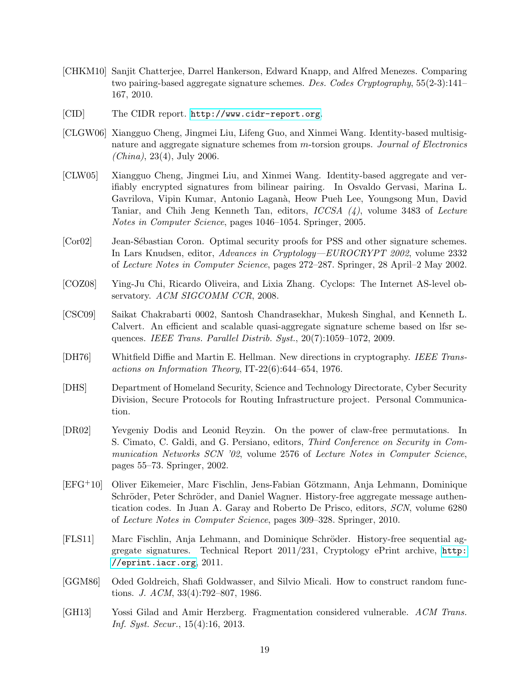- <span id="page-19-1"></span>[CHKM10] Sanjit Chatterjee, Darrel Hankerson, Edward Knapp, and Alfred Menezes. Comparing two pairing-based aggregate signature schemes. Des. Codes Cryptography, 55(2-3):141– 167, 2010.
- <span id="page-19-5"></span>[CID] The CIDR report. <http://www.cidr-report.org>.
- <span id="page-19-8"></span>[CLGW06] Xiangguo Cheng, Jingmei Liu, Lifeng Guo, and Xinmei Wang. Identity-based multisignature and aggregate signature schemes from m-torsion groups. Journal of Electronics  $(China), 23(4), July 2006.$
- <span id="page-19-7"></span>[CLW05] Xiangguo Cheng, Jingmei Liu, and Xinmei Wang. Identity-based aggregate and verifiably encrypted signatures from bilinear pairing. In Osvaldo Gervasi, Marina L. Gavrilova, Vipin Kumar, Antonio Lagan`a, Heow Pueh Lee, Youngsong Mun, David Taniar, and Chih Jeng Kenneth Tan, editors, ICCSA (4), volume 3483 of Lecture Notes in Computer Science, pages 1046–1054. Springer, 2005.
- <span id="page-19-9"></span>[Cor02] Jean-Sébastian Coron. Optimal security proofs for PSS and other signature schemes. In Lars Knudsen, editor, Advances in Cryptology—EUROCRYPT 2002, volume 2332 of Lecture Notes in Computer Science, pages 272–287. Springer, 28 April–2 May 2002.
- <span id="page-19-4"></span>[COZ08] Ying-Ju Chi, Ricardo Oliveira, and Lixia Zhang. Cyclops: The Internet AS-level observatory. ACM SIGCOMM CCR, 2008.
- <span id="page-19-2"></span>[CSC09] Saikat Chakrabarti 0002, Santosh Chandrasekhar, Mukesh Singhal, and Kenneth L. Calvert. An efficient and scalable quasi-aggregate signature scheme based on lfsr sequences. IEEE Trans. Parallel Distrib. Syst., 20(7):1059–1072, 2009.
- <span id="page-19-12"></span>[DH76] Whitfield Diffie and Martin E. Hellman. New directions in cryptography. IEEE Transactions on Information Theory, IT-22(6):644–654, 1976.
- <span id="page-19-6"></span>[DHS] Department of Homeland Security, Science and Technology Directorate, Cyber Security Division, Secure Protocols for Routing Infrastructure project. Personal Communication.
- <span id="page-19-13"></span>[DR02] Yevgeniy Dodis and Leonid Reyzin. On the power of claw-free permutations. In S. Cimato, C. Galdi, and G. Persiano, editors, Third Conference on Security in Communication Networks SCN '02, volume 2576 of Lecture Notes in Computer Science, pages 55–73. Springer, 2002.
- <span id="page-19-10"></span>[EFG<sup>+</sup>10] Oliver Eikemeier, Marc Fischlin, Jens-Fabian Götzmann, Anja Lehmann, Dominique Schröder, Peter Schröder, and Daniel Wagner. History-free aggregate message authentication codes. In Juan A. Garay and Roberto De Prisco, editors, SCN, volume 6280 of Lecture Notes in Computer Science, pages 309–328. Springer, 2010.
- <span id="page-19-0"></span>[FLS11] Marc Fischlin, Anja Lehmann, and Dominique Schröder. History-free sequential aggregate signatures. Technical Report 2011/231, Cryptology ePrint archive, [http:](http://eprint.iacr.org) [//eprint.iacr.org](http://eprint.iacr.org), 2011.
- <span id="page-19-11"></span>[GGM86] Oded Goldreich, Shafi Goldwasser, and Silvio Micali. How to construct random functions. J. ACM, 33(4):792–807, 1986.
- <span id="page-19-3"></span>[GH13] Yossi Gilad and Amir Herzberg. Fragmentation considered vulnerable. ACM Trans. Inf. Syst. Secur., 15(4):16, 2013.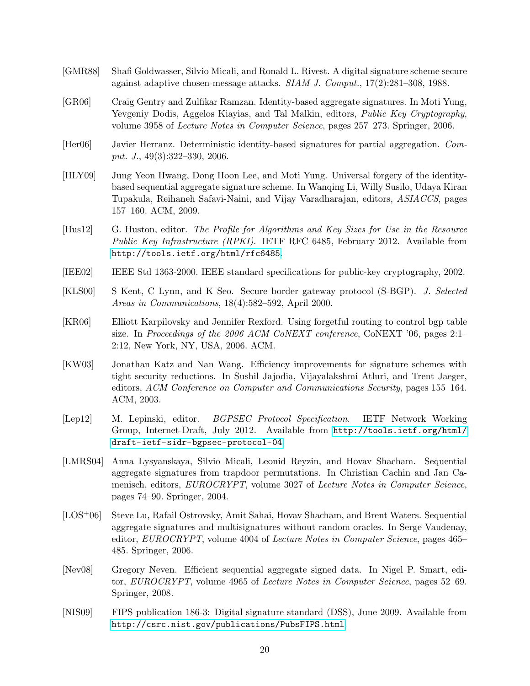- <span id="page-20-11"></span>[GMR88] Shafi Goldwasser, Silvio Micali, and Ronald L. Rivest. A digital signature scheme secure against adaptive chosen-message attacks. SIAM J. Comput., 17(2):281–308, 1988.
- <span id="page-20-8"></span>[GR06] Craig Gentry and Zulfikar Ramzan. Identity-based aggregate signatures. In Moti Yung, Yevgeniy Dodis, Aggelos Kiayias, and Tal Malkin, editors, Public Key Cryptography, volume 3958 of Lecture Notes in Computer Science, pages 257–273. Springer, 2006.
- <span id="page-20-7"></span>[Her06] Javier Herranz. Deterministic identity-based signatures for partial aggregation. Comput. J., 49(3):322–330, 2006.
- <span id="page-20-9"></span>[HLY09] Jung Yeon Hwang, Dong Hoon Lee, and Moti Yung. Universal forgery of the identitybased sequential aggregate signature scheme. In Wanqing Li, Willy Susilo, Udaya Kiran Tupakula, Reihaneh Safavi-Naini, and Vijay Varadharajan, editors, ASIACCS, pages 157–160. ACM, 2009.
- <span id="page-20-5"></span>[Hus12] G. Huston, editor. The Profile for Algorithms and Key Sizes for Use in the Resource Public Key Infrastructure (RPKI). IETF RFC 6485, February 2012. Available from <http://tools.ietf.org/html/rfc6485>.
- <span id="page-20-12"></span>[IEE02] IEEE Std 1363-2000. IEEE standard specifications for public-key cryptography, 2002.
- <span id="page-20-3"></span>[KLS00] S Kent, C Lynn, and K Seo. Secure border gateway protocol (S-BGP). J. Selected Areas in Communications, 18(4):582–592, April 2000.
- <span id="page-20-6"></span>[KR06] Elliott Karpilovsky and Jennifer Rexford. Using forgetful routing to control bgp table size. In Proceedings of the 2006 ACM CoNEXT conference, CoNEXT '06, pages 2:1– 2:12, New York, NY, USA, 2006. ACM.
- <span id="page-20-10"></span>[KW03] Jonathan Katz and Nan Wang. Efficiency improvements for signature schemes with tight security reductions. In Sushil Jajodia, Vijayalakshmi Atluri, and Trent Jaeger, editors, ACM Conference on Computer and Communications Security, pages 155–164. ACM, 2003.
- <span id="page-20-2"></span>[Lep12] M. Lepinski, editor. BGPSEC Protocol Specification. IETF Network Working Group, Internet-Draft, July 2012. Available from [http://tools.ietf.org/html/](http://tools.ietf.org/html/draft-ietf-sidr-bgpsec-protocol-04) [draft-ietf-sidr-bgpsec-protocol-04](http://tools.ietf.org/html/draft-ietf-sidr-bgpsec-protocol-04).
- <span id="page-20-0"></span>[LMRS04] Anna Lysyanskaya, Silvio Micali, Leonid Reyzin, and Hovav Shacham. Sequential aggregate signatures from trapdoor permutations. In Christian Cachin and Jan Camenisch, editors, EUROCRYPT, volume 3027 of Lecture Notes in Computer Science, pages 74–90. Springer, 2004.
- <span id="page-20-4"></span>[LOS+06] Steve Lu, Rafail Ostrovsky, Amit Sahai, Hovav Shacham, and Brent Waters. Sequential aggregate signatures and multisignatures without random oracles. In Serge Vaudenay, editor, EUROCRYPT, volume 4004 of Lecture Notes in Computer Science, pages 465– 485. Springer, 2006.
- <span id="page-20-1"></span>[Nev08] Gregory Neven. Efficient sequential aggregate signed data. In Nigel P. Smart, editor, EUROCRYPT, volume 4965 of Lecture Notes in Computer Science, pages 52–69. Springer, 2008.
- <span id="page-20-13"></span>[NIS09] FIPS publication 186-3: Digital signature standard (DSS), June 2009. Available from <http://csrc.nist.gov/publications/PubsFIPS.html>.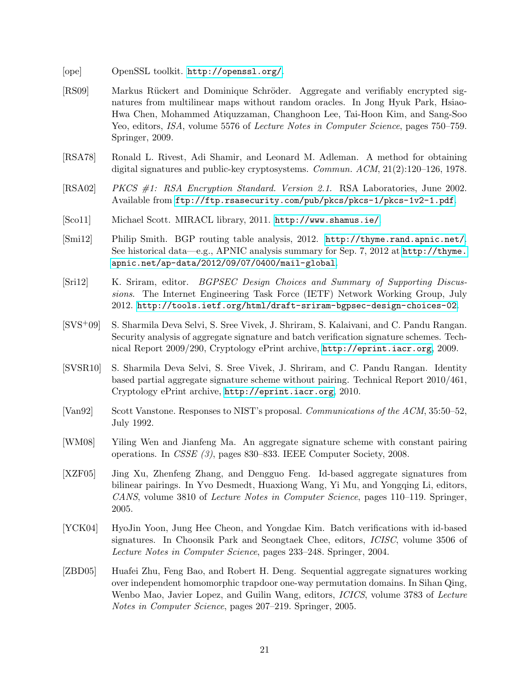- <span id="page-21-6"></span>[ope] OpenSSL toolkit. <http://openssl.org/>.
- <span id="page-21-1"></span>[RS09] Markus Rückert and Dominique Schröder. Aggregate and verifiably encrypted signatures from multilinear maps without random oracles. In Jong Hyuk Park, Hsiao-Hwa Chen, Mohammed Atiquzzaman, Changhoon Lee, Tai-Hoon Kim, and Sang-Soo Yeo, editors, ISA, volume 5576 of Lecture Notes in Computer Science, pages 750–759. Springer, 2009.
- <span id="page-21-0"></span>[RSA78] Ronald L. Rivest, Adi Shamir, and Leonard M. Adleman. A method for obtaining digital signatures and public-key cryptosystems. Commun. ACM, 21(2):120–126, 1978.
- <span id="page-21-8"></span>[RSA02] PKCS #1: RSA Encryption Standard. Version 2.1. RSA Laboratories, June 2002. Available from <ftp://ftp.rsasecurity.com/pub/pkcs/pkcs-1/pkcs-1v2-1.pdf>.
- <span id="page-21-7"></span>[Sco11] Michael Scott. MIRACL library, 2011. <http://www.shamus.ie/>.
- <span id="page-21-10"></span>[Smi12] Philip Smith. BGP routing table analysis, 2012. <http://thyme.rand.apnic.net/>. See historical data—e.g., APNIC analysis summary for Sep. 7, 2012 at [http://thyme.](http://thyme.apnic.net/ap-data/2012/09/07/0400/mail-global) [apnic.net/ap-data/2012/09/07/0400/mail-global](http://thyme.apnic.net/ap-data/2012/09/07/0400/mail-global).
- <span id="page-21-2"></span>[Sri12] K. Sriram, editor. BGPSEC Design Choices and Summary of Supporting Discussions. The Internet Engineering Task Force (IETF) Network Working Group, July 2012. <http://tools.ietf.org/html/draft-sriram-bgpsec-design-choices-02>.
- <span id="page-21-12"></span>[SVS+09] S. Sharmila Deva Selvi, S. Sree Vivek, J. Shriram, S. Kalaivani, and C. Pandu Rangan. Security analysis of aggregate signature and batch verification signature schemes. Technical Report 2009/290, Cryptology ePrint archive, <http://eprint.iacr.org>, 2009.
- <span id="page-21-5"></span>[SVSR10] S. Sharmila Deva Selvi, S. Sree Vivek, J. Shriram, and C. Pandu Rangan. Identity based partial aggregate signature scheme without pairing. Technical Report 2010/461, Cryptology ePrint archive, <http://eprint.iacr.org>, 2010.
- <span id="page-21-9"></span>[Van92] Scott Vanstone. Responses to NIST's proposal. Communications of the ACM, 35:50–52, July 1992.
- <span id="page-21-11"></span>[WM08] Yiling Wen and Jianfeng Ma. An aggregate signature scheme with constant pairing operations. In CSSE (3), pages 830–833. IEEE Computer Society, 2008.
- <span id="page-21-4"></span>[XZF05] Jing Xu, Zhenfeng Zhang, and Dengguo Feng. Id-based aggregate signatures from bilinear pairings. In Yvo Desmedt, Huaxiong Wang, Yi Mu, and Yongqing Li, editors, CANS, volume 3810 of Lecture Notes in Computer Science, pages 110–119. Springer, 2005.
- <span id="page-21-3"></span>[YCK04] HyoJin Yoon, Jung Hee Cheon, and Yongdae Kim. Batch verifications with id-based signatures. In Choonsik Park and Seongtaek Chee, editors, ICISC, volume 3506 of Lecture Notes in Computer Science, pages 233–248. Springer, 2004.
- <span id="page-21-13"></span>[ZBD05] Huafei Zhu, Feng Bao, and Robert H. Deng. Sequential aggregate signatures working over independent homomorphic trapdoor one-way permutation domains. In Sihan Qing, Wenbo Mao, Javier Lopez, and Guilin Wang, editors, ICICS, volume 3783 of Lecture Notes in Computer Science, pages 207–219. Springer, 2005.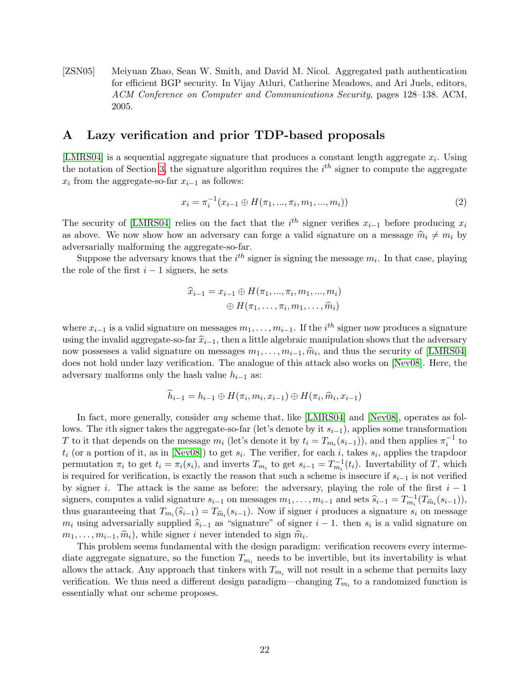<span id="page-22-1"></span>[ZSN05] Meiyuan Zhao, Sean W. Smith, and David M. Nicol. Aggregated path authentication for efficient BGP security. In Vijay Atluri, Catherine Meadows, and Ari Juels, editors, ACM Conference on Computer and Communications Security, pages 128–138. ACM, 2005.

# <span id="page-22-0"></span>A Lazy verification and prior TDP-based proposals

[\[LMRS04\]](#page-20-0) is a sequential aggregate signature that produces a constant length aggregate  $x_i$ . Using the notation of Section [3,](#page-8-0) the signature algorithm requires the  $i<sup>th</sup>$  signer to compute the aggregate  $x_i$  from the aggregate-so-far  $x_{i-1}$  as follows:

$$
x_i = \pi_i^{-1}(x_{i-1} \oplus H(\pi_1, ..., \pi_i, m_1, ..., m_i))
$$
\n(2)

The security of [\[LMRS04\]](#page-20-0) relies on the fact that the  $i^{th}$  signer verifies  $x_{i-1}$  before producing  $x_i$ as above. We now show how an adversary can forge a valid signature on a message  $\hat{m}_i \neq m_i$  by adversarially malforming the aggregate-so-far.

Suppose the adversary knows that the  $i^{th}$  signer is signing the message  $m_i$ . In that case, playing the role of the first  $i - 1$  signers, he sets

$$
\widehat{x}_{i-1} = x_{i-1} \oplus H(\pi_1, ..., \pi_i, m_1, ..., m_i) \oplus H(\pi_1, ..., \pi_i, m_1, ..., \widehat{m}_i)
$$

where  $x_{i-1}$  is a valid signature on messages  $m_1, \ldots, m_{i-1}$ . If the  $i^{th}$  signer now produces a signature using the invalid aggregate-so-far  $\hat{x}_{i-1}$ , then a little algebraic manipulation shows that the adversary now possesses a valid signature on messages  $m_1, \ldots, m_{i-1}, \hat{m}_i$ , and thus the security of [\[LMRS04\]](#page-20-0) does not hold under lazy verification. The analogue of this attack also works on [Nov08]. Here, the does not hold under lazy verification. The analogue of this attack also works on [\[Nev08\]](#page-20-1). Here, the adversary malforms only the hash value  $h_{i-1}$  as:

$$
h_{i-1} = h_{i-1} \oplus H(\pi_i, m_i, x_{i-1}) \oplus H(\pi_i, \hat{m}_i, x_{i-1})
$$

In fact, more generally, consider *any* scheme that, like [\[LMRS04\]](#page-20-0) and [\[Nev08\]](#page-20-1), operates as follows. The *i*th signer takes the aggregate-so-far (let's denote by it  $s_{i-1}$ ), applies some transformation T to it that depends on the message  $m_i$  (let's denote it by  $t_i = T_{m_i}(s_{i-1})$ ), and then applies  $\pi_i^{-1}$  to  $t_i$  (or a portion of it, as in [\[Nev08\]](#page-20-1)) to get  $s_i$ . The verifier, for each i, takes  $s_i$ , applies the trapdoor permutation  $\pi_i$  to get  $t_i = \pi_i(s_i)$ , and inverts  $T_{m_i}$  to get  $s_{i-1} = T_{m_i}^{-1}(t_i)$ . Invertability of T, which is required for verification, is exactly the reason that such a scheme is insecure if  $s_{i-1}$  is not verified by signer i. The attack is the same as before: the adversary, playing the role of the first  $i - 1$ signers, computes a valid signature  $s_{i-1}$  on messages  $m_1, \ldots, m_{i-1}$  and sets  $\widehat{s}_{i-1} = T_{m}^{-1}(T_{\widehat{m}_i}(s_{i-1})),$ <br>thus guarantesing that  $T_{m_i}(\widehat{s}_{i-1}) = T_{m_i}(s_{i-1})$ . Now if given a produce a given two supports thus guaranteeing that  $T_{m_i}(\hat{s}_{i-1}) = T_{\hat{m}_i}(s_{i-1})$ . Now if signer *i* produces a signature  $s_i$  on message<br>music advance signature signature signature signature signature signature on  $m_i$  using adversarially supplied  $\hat{s}_{i-1}$  as "signature" of signer  $i-1$ . then  $s_i$  is a valid signature on  $\hat{m}$  $m_1, \ldots, m_{i-1}, \hat{m}_i$ , while signer i never intended to sign  $\hat{m}_i$ .<br>This problem sooms fundamental with the design paradic-

This problem seems fundamental with the design paradigm: verification recovers every intermediate aggregate signature, so the function  $T_{m_i}$  needs to be invertible, but its invertability is what allows the attack. Any approach that tinkers with  $T_{m_i}$  will not result in a scheme that permits lazy verification. We thus need a different design paradigm—changing  $T_{m_i}$  to a randomized function is essentially what our scheme proposes.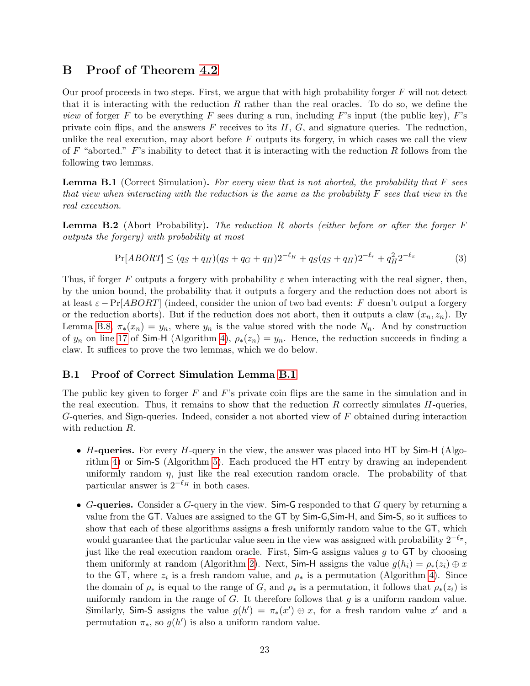### <span id="page-23-0"></span>B Proof of Theorem [4.2](#page-14-4)

Our proof proceeds in two steps. First, we argue that with high probability forger  $F$  will not detect that it is interacting with the reduction  $R$  rather than the real oracles. To do so, we define the *view* of forger F to be everything F sees during a run, including F's input (the public key), F's private coin flips, and the answers  $F$  receives to its  $H, G$ , and signature queries. The reduction, unlike the real execution, may abort before  $F$  outputs its forgery, in which cases we call the view of F "aborted."  $F$ 's inability to detect that it is interacting with the reduction R follows from the following two lemmas.

<span id="page-23-2"></span>**Lemma B.1** (Correct Simulation). For every view that is not aborted, the probability that  $F$  sees that view when interacting with the reduction is the same as the probability  $F$  sees that view in the real execution.

<span id="page-23-3"></span>**Lemma B.2** (Abort Probability). The reduction R aborts (either before or after the forger  $F$ outputs the forgery) with probability at most

$$
\Pr[ABORT] \le (q_S + q_H)(q_S + q_G + q_H)2^{-\ell_H} + q_S(q_S + q_H)2^{-\ell_r} + q_H^2 2^{-\ell_\pi} \tag{3}
$$

Thus, if forger F outputs a forgery with probability  $\varepsilon$  when interacting with the real signer, then, by the union bound, the probability that it outputs a forgery and the reduction does not abort is at least  $\varepsilon$  − Pr[*ABORT*] (indeed, consider the union of two bad events: F doesn't output a forgery or the reduction aborts). But if the reduction does not abort, then it outputs a claw  $(x_n, z_n)$ . By Lemma [B.8,](#page-25-2)  $\pi_*(x_n) = y_n$ , where  $y_n$  is the value stored with the node  $N_n$ . And by construction of  $y_n$  on line [17](#page-13-6) of Sim-H (Algorithm [4\)](#page-13-1),  $\rho_*(z_n) = y_n$ . Hence, the reduction succeeds in finding a claw. It suffices to prove the two lemmas, which we do below.

#### <span id="page-23-1"></span>B.1 Proof of Correct Simulation Lemma [B.1](#page-23-2)

The public key given to forger  $F$  and  $F$ 's private coin flips are the same in the simulation and in the real execution. Thus, it remains to show that the reduction  $R$  correctly simulates  $H$ -queries, G-queries, and Sign-queries. Indeed, consider a not aborted view of F obtained during interaction with reduction R.

- H-queries. For every  $H$ -query in the view, the answer was placed into HT by Sim-H (Algorithm [4\)](#page-13-1) or Sim-S (Algorithm [5\)](#page-13-2). Each produced the HT entry by drawing an independent uniformly random  $\eta$ , just like the real execution random oracle. The probability of that particular answer is  $2^{-\ell_H}$  in both cases.
- G-queries. Consider a G-query in the view. Sim-G responded to that  $G$  query by returning a value from the GT. Values are assigned to the GT by Sim-G,Sim-H, and Sim-S, so it suffices to show that each of these algorithms assigns a fresh uniformly random value to the GT, which would guarantee that the particular value seen in the view was assigned with probability  $2^{-\ell_{\pi}}$ , just like the real execution random oracle. First,  $Sim-G$  assigns values g to  $GT$  by choosing them uniformly at random (Algorithm [2\)](#page-13-3). Next, Sim-H assigns the value  $g(h_i) = \rho_*(z_i) \oplus x$ to the GT, where  $z_i$  is a fresh random value, and  $\rho_*$  is a permutation (Algorithm [4\)](#page-13-1). Since the domain of  $\rho_*$  is equal to the range of G, and  $\rho_*$  is a permutation, it follows that  $\rho_*(z_i)$  is uniformly random in the range of  $G$ . It therefore follows that  $g$  is a uniform random value. Similarly, Sim-S assigns the value  $g(h') = \pi_*(x') \oplus x$ , for a fresh random value x' and a permutation  $\pi_*$ , so  $g(h')$  is also a uniform random value.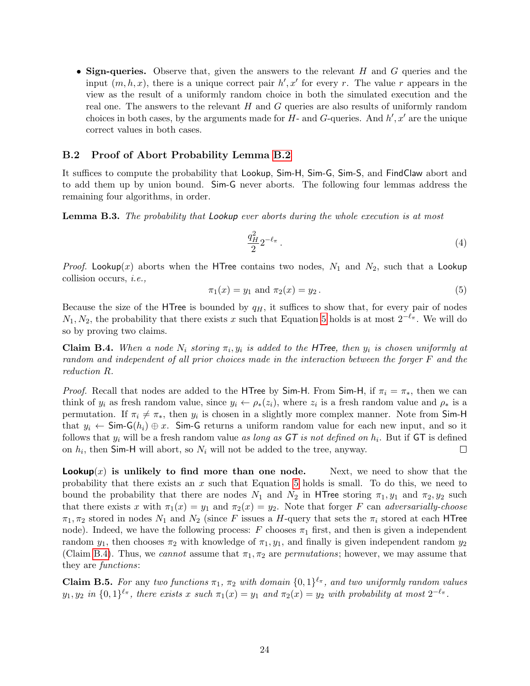• Sign-queries. Observe that, given the answers to the relevant  $H$  and  $G$  queries and the input  $(m, h, x)$ , there is a unique correct pair  $h', x'$  for every r. The value r appears in the view as the result of a uniformly random choice in both the simulated execution and the real one. The answers to the relevant  $H$  and  $G$  queries are also results of uniformly random choices in both cases, by the arguments made for  $H$ - and  $G$ -queries. And  $h', x'$  are the unique correct values in both cases.

#### <span id="page-24-0"></span>B.2 Proof of Abort Probability Lemma [B.2](#page-23-3)

It suffices to compute the probability that Lookup, Sim-H, Sim-G, Sim-S, and FindClaw abort and to add them up by union bound. Sim-G never aborts. The following four lemmas address the remaining four algorithms, in order.

<span id="page-24-1"></span>**Lemma B.3.** The probability that Lookup ever aborts during the whole execution is at most

$$
\frac{q_H^2}{2} 2^{-\ell_\pi} \,. \tag{4}
$$

*Proof.* Lookup(x) aborts when the HTree contains two nodes,  $N_1$  and  $N_2$ , such that a Lookup collision occurs, i.e.,

<span id="page-24-4"></span>
$$
\pi_1(x) = y_1 \text{ and } \pi_2(x) = y_2. \tag{5}
$$

Because the size of the HTree is bounded by  $q_H$ , it suffices to show that, for every pair of nodes  $N_1, N_2$ , the probability that there exists x such that Equation [5](#page-24-4) holds is at most  $2^{-\ell_{\pi}}$ . We will do so by proving two claims.

<span id="page-24-3"></span>**Claim B.4.** When a node  $N_i$  storing  $\pi_i, y_i$  is added to the HTree, then  $y_i$  is chosen uniformly at random and independent of all prior choices made in the interaction between the forger F and the reduction R.

*Proof.* Recall that nodes are added to the HTree by Sim-H. From Sim-H, if  $\pi_i = \pi_*$ , then we can think of  $y_i$  as fresh random value, since  $y_i \leftarrow \rho_*(z_i)$ , where  $z_i$  is a fresh random value and  $\rho_*$  is a permutation. If  $\pi_i \neq \pi_*$ , then  $y_i$  is chosen in a slightly more complex manner. Note from Sim-H that  $y_i \leftarrow \mathsf{Sim-G}(h_i) \oplus x$ . Sim-G returns a uniform random value for each new input, and so it follows that  $y_i$  will be a fresh random value as long as  $GT$  is not defined on  $h_i$ . But if  $GT$  is defined on  $h_i$ , then Sim-H will abort, so  $N_i$  will not be added to the tree, anyway.  $\Box$ 

**Lookup** $(x)$  is unlikely to find more than one node. Next, we need to show that the probability that there exists an  $x$  such that Equation [5](#page-24-4) holds is small. To do this, we need to bound the probability that there are nodes  $N_1$  and  $N_2$  in HTree storing  $\pi_1, y_1$  and  $\pi_2, y_2$  such that there exists x with  $\pi_1(x) = y_1$  and  $\pi_2(x) = y_2$ . Note that forger F can adversarially-choose  $\pi_1, \pi_2$  stored in nodes  $N_1$  and  $N_2$  (since F issues a H-query that sets the  $\pi_i$  stored at each HTree node). Indeed, we have the following process: F chooses  $\pi_1$  first, and then is given a independent random  $y_1$ , then chooses  $\pi_2$  with knowledge of  $\pi_1, y_1$ , and finally is given independent random  $y_2$ (Claim [B.4\)](#page-24-3). Thus, we cannot assume that  $\pi_1, \pi_2$  are permutations; however, we may assume that they are functions:

<span id="page-24-2"></span>**Claim B.5.** For any two functions  $\pi_1$ ,  $\pi_2$  with domain  $\{0,1\}^{\ell_{\pi}}$ , and two uniformly random values  $y_1, y_2$  in  $\{0,1\}^{\ell_\pi}$ , there exists x such  $\pi_1(x) = y_1$  and  $\pi_2(x) = y_2$  with probability at most  $2^{-\ell_\pi}$ .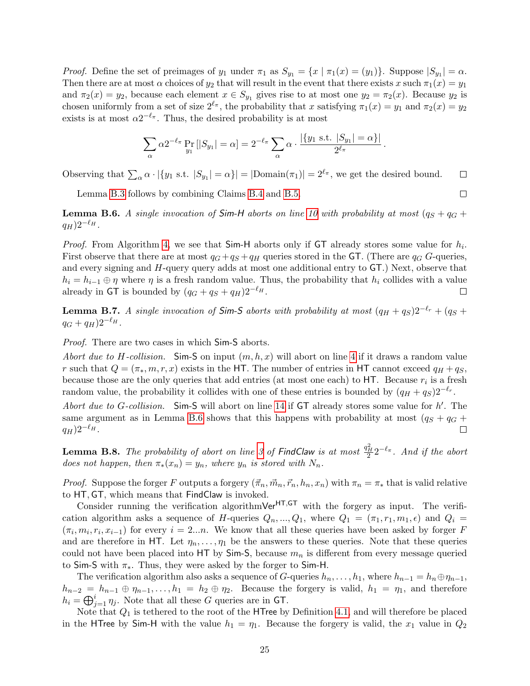*Proof.* Define the set of preimages of  $y_1$  under  $\pi_1$  as  $S_{y_1} = \{x \mid \pi_1(x) = (y_1)\}\.$  Suppose  $|S_{y_1}| = \alpha$ . Then there are at most  $\alpha$  choices of  $y_2$  that will result in the event that there exists x such  $\pi_1(x) = y_1$ and  $\pi_2(x) = y_2$ , because each element  $x \in S_{y_1}$  gives rise to at most one  $y_2 = \pi_2(x)$ . Because  $y_2$  is chosen uniformly from a set of size  $2^{\ell_{\pi}}$ , the probability that x satisfying  $\pi_1(x) = y_1$  and  $\pi_2(x) = y_2$ exists is at most  $\alpha 2^{-\ell_{\pi}}$ . Thus, the desired probability is at most

$$
\sum_{\alpha} \alpha 2^{-\ell_{\pi}} \Pr_{y_1} [|S_{y_1}| = \alpha] = 2^{-\ell_{\pi}} \sum_{\alpha} \alpha \cdot \frac{|\{y_1 \text{ s.t. } |S_{y_1}| = \alpha\}|}{2^{\ell_{\pi}}}.
$$

Observing that  $\sum_{\alpha} \alpha \cdot |\{y_1 \text{ s.t. } |S_{y_1}| = \alpha\}| = |\text{Domain}(\pi_1)| = 2^{\ell_{\pi}},$  we get the desired bound.  $\Box$ 

Lemma [B.3](#page-24-1) follows by combining Claims [B.4](#page-24-3) and [B.5.](#page-24-2)

<span id="page-25-1"></span>**Lemma B.6.** A single invocation of Sim-H aborts on line [10](#page-13-7) with probability at most  $(q_S + q_G + q_H)$  $(q_H)2^{-\ell_H}$ .

*Proof.* From Algorithm [4,](#page-13-1) we see that  $Sim-H$  aborts only if  $GT$  already stores some value for  $h_i$ . First observe that there are at most  $q_G+q_S+q_H$  queries stored in the GT. (There are  $q_G$  G-queries, and every signing and H-query query adds at most one additional entry to GT.) Next, observe that  $h_i = h_{i-1} \oplus \eta$  where  $\eta$  is a fresh random value. Thus, the probability that  $h_i$  collides with a value already in GT is bounded by  $(q_G + q_S + q_H)2^{-\ell_H}$ .  $\Box$ 

<span id="page-25-0"></span>**Lemma B.7.** A single invocation of Sim-S aborts with probability at most  $(q_H + q_S)2^{-\ell_r} + (q_S +$  $q_G + q_H) 2^{-\ell_H}$ .

Proof. There are two cases in which Sim-S aborts.

Abort due to H-collision. Sim-S on input  $(m, h, x)$  will abort on line [4](#page-13-5) if it draws a random value r such that  $Q = (\pi_*, m, r, x)$  exists in the HT. The number of entries in HT cannot exceed  $q_H + q_S$ , because those are the only queries that add entries (at most one each) to  $HT$ . Because  $r_i$  is a fresh random value, the probability it collides with one of these entries is bounded by  $(q_H + q_S)2^{-\ell_r}$ .

Abort due to G-collision. Sim-S will abort on line [14](#page-13-8) if  $GT$  already stores some value for  $h'$ . The same argument as in Lemma [B.6](#page-25-1) shows that this happens with probability at most  $(q_S + q_G + q_S)$  $q_H$ ) $2^{-\ell_H}$ .  $\Box$ 

<span id="page-25-2"></span>**Lemma B.8.** The probability of abort on line [3](#page-13-9) of FindClaw is at most  $\frac{q_H^2}{2} 2^{-\ell_{\pi}}$ . And if the abort does not happen, then  $\pi_*(x_n) = y_n$ , where  $y_n$  is stored with  $N_n$ .

*Proof.* Suppose the forger F outputs a forgery  $(\vec{\pi}_n, \vec{m}_n, \vec{r}_n, h_n, x_n)$  with  $\pi_n = \pi_*$  that is valid relative to HT, GT, which means that FindClaw is invoked.

Consider running the verification algorithm $Ver^{\text{HT},\text{GT}}$  with the forgery as input. The verification algorithm asks a sequence of H-queries  $Q_n, ..., Q_1$ , where  $Q_1 = (\pi_1, r_1, m_1, \epsilon)$  and  $Q_i =$  $(\pi_i, m_i, r_i, x_{i-1})$  for every  $i = 2...n$ . We know that all these queries have been asked by forger F and are therefore in HT. Let  $\eta_n, \ldots, \eta_1$  be the answers to these queries. Note that these queries could not have been placed into HT by  $Sim-S$ , because  $m_n$  is different from every message queried to Sim-S with  $\pi_*$ . Thus, they were asked by the forger to Sim-H.

The verification algorithm also asks a sequence of G-queries  $h_n, \ldots, h_1$ , where  $h_{n-1} = h_n \oplus \eta_{n-1}$ ,  $h_{n-2} = h_{n-1} \oplus \eta_{n-1}, \ldots, h_1 = h_2 \oplus \eta_2$ . Because the forgery is valid,  $h_1 = \eta_1$ , and therefore  $h_i = \bigoplus_{j=1}^i \eta_j$ . Note that all these G queries are in GT.

Note that  $Q_1$  is tethered to the root of the HTree by Definition [4.1,](#page-11-2) and will therefore be placed in the HTree by Sim-H with the value  $h_1 = \eta_1$ . Because the forgery is valid, the  $x_1$  value in  $Q_2$ 

 $\Box$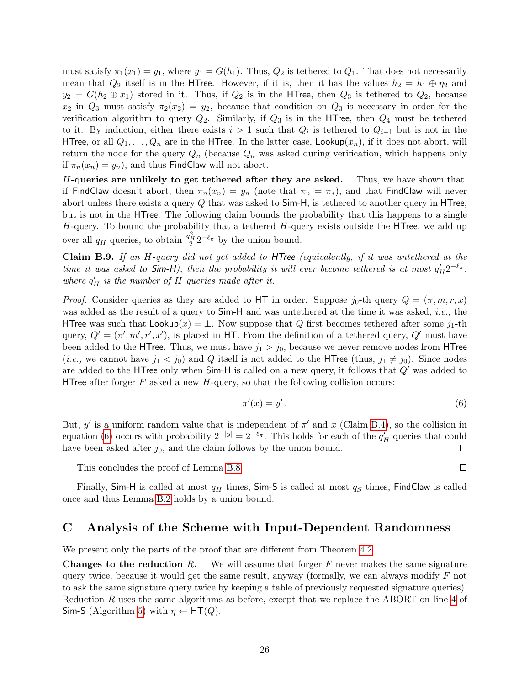must satisfy  $\pi_1(x_1) = y_1$ , where  $y_1 = G(h_1)$ . Thus,  $Q_2$  is tethered to  $Q_1$ . That does not necessarily mean that  $Q_2$  itself is in the HTree. However, if it is, then it has the values  $h_2 = h_1 \oplus \eta_2$  and  $y_2 = G(h_2 \oplus x_1)$  stored in it. Thus, if  $Q_2$  is in the HTree, then  $Q_3$  is tethered to  $Q_2$ , because  $x_2$  in  $Q_3$  must satisfy  $\pi_2(x_2) = y_2$ , because that condition on  $Q_3$  is necessary in order for the verification algorithm to query  $Q_2$ . Similarly, if  $Q_3$  is in the HTree, then  $Q_4$  must be tethered to it. By induction, either there exists  $i > 1$  such that  $Q_i$  is tethered to  $Q_{i-1}$  but is not in the HTree, or all  $Q_1, \ldots, Q_n$  are in the HTree. In the latter case, Lookup $(x_n)$ , if it does not abort, will return the node for the query  $Q_n$  (because  $Q_n$  was asked during verification, which happens only if  $\pi_n(x_n) = y_n$ , and thus FindClaw will not abort.

H-queries are unlikely to get tethered after they are asked. Thus, we have shown that, if FindClaw doesn't abort, then  $\pi_n(x_n) = y_n$  (note that  $\pi_n = \pi_*$ ), and that FindClaw will never abort unless there exists a query Q that was asked to Sim-H, is tethered to another query in HTree, but is not in the HTree. The following claim bounds the probability that this happens to a single  $H$ -query. To bound the probability that a tethered  $H$ -query exists outside the HTree, we add up over all  $q_H$  queries, to obtain  $\frac{q_H^2}{2} 2^{-\ell_{\pi}}$  by the union bound.

<span id="page-26-1"></span>Claim B.9. If an H-query did not get added to HTree (equivalently, if it was untethered at the time it was asked to Sim-H), then the probability it will ever become tethered is at most  $q_H' 2^{-\ell_{\pi}},$ where  $q_H'$  is the number of H queries made after it.

*Proof.* Consider queries as they are added to HT in order. Suppose  $j_0$ -th query  $Q = (\pi, m, r, x)$ was added as the result of a query to  $Sim-H$  and was untethered at the time it was asked, *i.e.*, the HTree was such that  $\textsf{Lookup}(x) = \perp$ . Now suppose that Q first becomes tethered after some  $j_1$ -th query,  $Q' = (\pi', m', r', x')$ , is placed in HT. From the definition of a tethered query,  $Q'$  must have been added to the HTree. Thus, we must have  $j_1 > j_0$ , because we never remove nodes from HTree (*i.e.*, we cannot have  $j_1 < j_0$ ) and Q itself is not added to the HTree (thus,  $j_1 \neq j_0$ ). Since nodes are added to the HTree only when  $Sim-H$  is called on a new query, it follows that  $Q'$  was added to HTree after forger  $F$  asked a new  $H$ -query, so that the following collision occurs:

<span id="page-26-2"></span>
$$
\pi'(x) = y'.
$$
\n<sup>(6)</sup>

But, y' is a uniform random value that is independent of  $\pi'$  and x (Claim [B.4\)](#page-24-3), so the collision in equation [\(6\)](#page-26-2) occurs with probability  $2^{-|y|} = 2^{-\ell_{\pi}}$ . This holds for each of the  $q'_{H}$  queries that could have been asked after  $j_0$ , and the claim follows by the union bound.  $\Box$ 

This concludes the proof of Lemma [B.8](#page-25-2)

 $\Box$ 

Finally, Sim-H is called at most  $q_H$  times, Sim-S is called at most  $q_S$  times, FindClaw is called once and thus Lemma [B.2](#page-23-3) holds by a union bound.

### <span id="page-26-0"></span>C Analysis of the Scheme with Input-Dependent Randomness

We present only the parts of the proof that are different from Theorem [4.2.](#page-14-4)

**Changes to the reduction R.** We will assume that forger F never makes the same signature query twice, because it would get the same result, anyway (formally, we can always modify  $F$  not to ask the same signature query twice by keeping a table of previously requested signature queries). Reduction R uses the same algorithms as before, except that we replace the ABORT on line [4](#page-13-5) of Sim-S (Algorithm [5\)](#page-13-2) with  $\eta \leftarrow HT(Q)$ .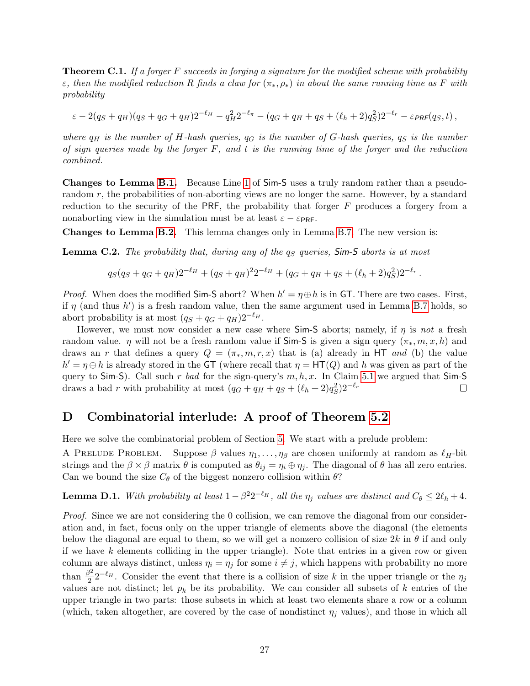<span id="page-27-2"></span>**Theorem C.1.** If a forger  $F$  succeeds in forging a signature for the modified scheme with probability ε, then the modified reduction R finds a claw for  $(\pi_*, \rho_*)$  in about the same running time as F with probability

$$
\varepsilon - 2(q_S + q_H)(q_S + q_G + q_H)2^{-\ell_H} - q_H^2 2^{-\ell_{\pi}} - (q_G + q_H + q_S + (\ell_h + 2)q_S^2)2^{-\ell_r} - \varepsilon_{\text{PRF}}(q_S, t) ,
$$

where  $q_H$  is the number of H-hash queries,  $q_G$  is the number of G-hash queries,  $q_S$  is the number of sign queries made by the forger  $F$ , and  $t$  is the running time of the forger and the reduction combined.

Changes to Lemma [B.1.](#page-23-2) Because Line [1](#page-13-10) of Sim-S uses a truly random rather than a pseudorandom r, the probabilities of non-aborting views are no longer the same. However, by a standard reduction to the security of the PRF, the probability that forger  $F$  produces a forgery from a nonaborting view in the simulation must be at least  $\varepsilon - \varepsilon_{\text{PRF}}$ .

Changes to Lemma [B.2.](#page-23-3) This lemma changes only in Lemma [B.7.](#page-25-0) The new version is:

**Lemma C.2.** The probability that, during any of the  $q_S$  queries,  $Sim-S$  aborts is at most

$$
q_S(q_S+q_G+q_H)2^{-\ell_H}+(q_S+q_H)^22^{-\ell_H}+(q_G+q_H+q_S+(\ell_h+2)q_S^2)2^{-\ell_r}.
$$

*Proof.* When does the modified Sim-S abort? When  $h' = \eta \oplus h$  is in GT. There are two cases. First, if  $\eta$  (and thus h') is a fresh random value, then the same argument used in Lemma [B.7](#page-25-0) holds, so abort probability is at most  $(q_S + q_G + q_H)2^{-\ell_H}$ .

However, we must now consider a new case where  $Sim-S$  aborts; namely, if  $\eta$  is not a fresh random value.  $\eta$  will not be a fresh random value if Sim-S is given a sign query  $(\pi_*, m, x, h)$  and draws an r that defines a query  $Q = (\pi_*, m, r, x)$  that is (a) already in HT and (b) the value  $h' = \eta \oplus h$  is already stored in the GT (where recall that  $\eta = HT(Q)$  and h was given as part of the query to Sim-S). Call such r bad for the sign-query's  $m, h, x$ . In Claim [5.1](#page-15-1) we argued that Sim-S draws a bad r with probability at most  $(q_G + q_H + q_S + (\ell_h + 2)q_S^2)2^{-\ell_r}$  $\Box$ 

# <span id="page-27-0"></span>D Combinatorial interlude: A proof of Theorem [5.2](#page-15-0)

Here we solve the combinatorial problem of Section [5.](#page-14-1) We start with a prelude problem:

A PRELUDE PROBLEM. Suppose  $\beta$  values  $\eta_1, \ldots, \eta_\beta$  are chosen uniformly at random as  $\ell_H$ -bit strings and the  $\beta \times \beta$  matrix  $\theta$  is computed as  $\theta_{ij} = \eta_i \oplus \eta_j$ . The diagonal of  $\theta$  has all zero entries. Can we bound the size  $C_{\theta}$  of the biggest nonzero collision within  $\theta$ ?

<span id="page-27-1"></span>**Lemma D.1.** With probability at least  $1 - \beta^2 2^{-\ell_H}$ , all the  $\eta_j$  values are distinct and  $C_\theta \leq 2\ell_h + 4$ .

Proof. Since we are not considering the 0 collision, we can remove the diagonal from our consideration and, in fact, focus only on the upper triangle of elements above the diagonal (the elements below the diagonal are equal to them, so we will get a nonzero collision of size  $2k$  in  $\theta$  if and only if we have  $k$  elements colliding in the upper triangle). Note that entries in a given row or given column are always distinct, unless  $\eta_i = \eta_j$  for some  $i \neq j$ , which happens with probability no more than  $\frac{\beta^2}{2}$  $\frac{3^2}{2}2^{-\ell_H}$ . Consider the event that there is a collision of size k in the upper triangle or the  $\eta_j$ values are not distinct; let  $p_k$  be its probability. We can consider all subsets of k entries of the upper triangle in two parts: those subsets in which at least two elements share a row or a column (which, taken altogether, are covered by the case of nondistinct  $\eta_i$  values), and those in which all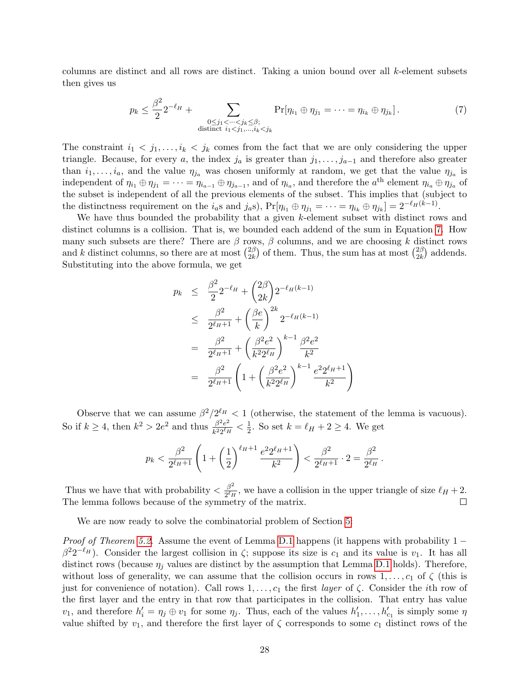columns are distinct and all rows are distinct. Taking a union bound over all k-element subsets then gives us

<span id="page-28-0"></span>
$$
p_k \le \frac{\beta^2}{2} 2^{-\ell_H} + \sum_{\substack{0 \le j_1 < \dots < j_k \le \beta; \\ \text{distinct } i_1 < j_1, \dots, i_k < j_k}} \Pr[\eta_{i_1} \oplus \eta_{j_1} = \dots = \eta_{i_k} \oplus \eta_{j_k}]. \tag{7}
$$

The constraint  $i_1 < j_1, \ldots, i_k < j_k$  comes from the fact that we are only considering the upper triangle. Because, for every a, the index  $j_a$  is greater than  $j_1, \ldots, j_{a-1}$  and therefore also greater than  $i_1, \ldots, i_a$ , and the value  $\eta_{j_a}$  was chosen uniformly at random, we get that the value  $\eta_{j_a}$  is independent of  $\eta_{i_1} \oplus \eta_{j_1} = \cdots = \eta_{i_{a-1}} \oplus \eta_{j_{a-1}}$ , and of  $\eta_{i_a}$ , and therefore the  $a^{\text{th}}$  element  $\eta_{i_a} \oplus \eta_{j_a}$  of the subset is independent of all the previous elements of the subset. This implies that (subject to the distinctness requirement on the  $i_a$ s and  $j_a$ s), Pr $[\eta_{i_1} \oplus \eta_{j_1} = \cdots = \eta_{i_k} \oplus \eta_{j_k}] = 2^{-\ell_H(k-1)}$ .

We have thus bounded the probability that a given k-element subset with distinct rows and distinct columns is a collision. That is, we bounded each addend of the sum in Equation [7.](#page-28-0) How many such subsets are there? There are  $\beta$  rows,  $\beta$  columns, and we are choosing k distinct rows and k distinct columns, so there are at most  $\binom{2\beta}{2k}$  $\binom{2\beta}{2k}$  of them. Thus, the sum has at most  $\binom{2\beta}{2k}$  $\binom{2\beta}{2k}$  addends. Substituting into the above formula, we get

$$
p_k \leq \frac{\beta^2}{2} 2^{-\ell_H} + {2\beta \choose 2k} 2^{-\ell_H(k-1)}
$$
  
\n
$$
\leq \frac{\beta^2}{2^{\ell_H+1}} + {(\frac{\beta e}{k})}^{2k} 2^{-\ell_H(k-1)}
$$
  
\n
$$
= \frac{\beta^2}{2^{\ell_H+1}} + {(\frac{\beta^2 e^2}{k^2 2^{\ell_H}})}^{k-1} \frac{\beta^2 e^2}{k^2}
$$
  
\n
$$
= \frac{\beta^2}{2^{\ell_H+1}} \left( 1 + {(\frac{\beta^2 e^2}{k^2 2^{\ell_H}})}^{k-1} \frac{e^2 2^{\ell_H+1}}{k^2} \right)
$$

Observe that we can assume  $\beta^2/2^{\ell_H} < 1$  (otherwise, the statement of the lemma is vacuous). So if  $k \geq 4$ , then  $k^2 > 2e^2$  and thus  $\frac{\beta^2 e^2}{k^2}$  $\frac{\beta^2 e^2}{k^2 2^{\ell} H} < \frac{1}{2}$  $\frac{1}{2}$ . So set  $k = \ell_H + 2 \geq 4$ . We get

$$
p_k < \frac{\beta^2}{2^{\ell_H+1}} \left( 1 + \left(\frac{1}{2}\right)^{\ell_H+1} \frac{e^2 2^{\ell_H+1}}{k^2} \right) < \frac{\beta^2}{2^{\ell_H+1}} \cdot 2 = \frac{\beta^2}{2^{\ell_H}} \, .
$$

Thus we have that with probability  $\langle \frac{\beta^2}{\gamma kI} \rangle$  $\frac{\beta^2}{2^{\ell}H}$ , we have a collision in the upper triangle of size  $\ell_H + 2$ . The lemma follows because of the symmetry of the matrix.  $\Box$ 

We are now ready to solve the combinatorial problem of Section [5:](#page-14-1)

*Proof of Theorem [5.2.](#page-15-0)* Assume the event of Lemma [D.1](#page-27-1) happens (it happens with probability 1 −  $\beta^2 2^{-\ell_H}$ ). Consider the largest collision in  $\zeta$ ; suppose its size is  $c_1$  and its value is  $v_1$ . It has all distinct rows (because  $\eta_j$  values are distinct by the assumption that Lemma [D.1](#page-27-1) holds). Therefore, without loss of generality, we can assume that the collision occurs in rows  $1, \ldots, c_1$  of  $\zeta$  (this is just for convenience of notation). Call rows  $1, \ldots, c_1$  the first *layer* of  $\zeta$ . Consider the *i*th row of the first layer and the entry in that row that participates in the collision. That entry has value  $v_1$ , and therefore  $h'_i = \eta_j \oplus v_1$  for some  $\eta_j$ . Thus, each of the values  $h'_1, \ldots, h'_{c_1}$  is simply some  $\eta$ value shifted by  $v_1$ , and therefore the first layer of  $\zeta$  corresponds to some  $c_1$  distinct rows of the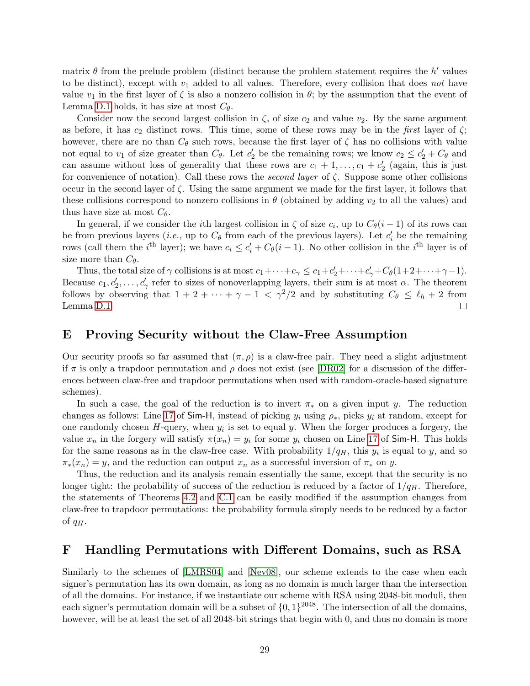matrix  $\theta$  from the prelude problem (distinct because the problem statement requires the h' values to be distinct), except with  $v_1$  added to all values. Therefore, every collision that does not have value  $v_1$  in the first layer of  $\zeta$  is also a nonzero collision in  $\theta$ ; by the assumption that the event of Lemma [D.1](#page-27-1) holds, it has size at most  $C_{\theta}$ .

Consider now the second largest collision in  $\zeta$ , of size  $c_2$  and value  $v_2$ . By the same argument as before, it has  $c_2$  distinct rows. This time, some of these rows may be in the *first* layer of  $\zeta$ ; however, there are no than  $C_{\theta}$  such rows, because the first layer of  $\zeta$  has no collisions with value not equal to  $v_1$  of size greater than  $C_{\theta}$ . Let  $c'_2$  be the remaining rows; we know  $c_2 \leq c'_2 + C_{\theta}$  and can assume without loss of generality that these rows are  $c_1 + 1, \ldots, c_1 + c'_2$  (again, this is just for convenience of notation). Call these rows the second layer of  $\zeta$ . Suppose some other collisions occur in the second layer of  $\zeta$ . Using the same argument we made for the first layer, it follows that these collisions correspond to nonzero collisions in  $\theta$  (obtained by adding  $v_2$  to all the values) and thus have size at most  $C_{\theta}$ .

In general, if we consider the *i*th largest collision in  $\zeta$  of size  $c_i$ , up to  $C_{\theta}(i-1)$  of its rows can be from previous layers (*i.e.*, up to  $C_{\theta}$  from each of the previous layers). Let  $c_i'$  be the remaining rows (call them the *i*<sup>th</sup> layer); we have  $c_i \leq c'_i + C_{\theta}(i-1)$ . No other collision in the *i*<sup>th</sup> layer is of size more than  $C_{\theta}$ .

Thus, the total size of  $\gamma$  collisions is at most  $c_1 + \cdots + c_{\gamma} \leq c_1 + c'_2 + \cdots + c'_{\gamma} + C_{\theta}(1 + 2 + \cdots + \gamma - 1)$ . Because  $c_1, c'_2, \ldots, c'_\gamma$  refer to sizes of nonoverlapping layers, their sum is at most  $\alpha$ . The theorem follows by observing that  $1 + 2 + \cdots + \gamma - 1 < \gamma^2/2$  and by substituting  $C_\theta \leq \ell_h + 2$  from Lemma [D.1.](#page-27-1)  $\Box$ 

# <span id="page-29-0"></span>E Proving Security without the Claw-Free Assumption

Our security proofs so far assumed that  $(\pi, \rho)$  is a claw-free pair. They need a slight adjustment if  $\pi$  is only a trapdoor permutation and  $\rho$  does not exist (see [\[DR02\]](#page-19-13) for a discussion of the differences between claw-free and trapdoor permutations when used with random-oracle-based signature schemes).

In such a case, the goal of the reduction is to invert  $\pi_*$  on a given input y. The reduction changes as follows: Line [17](#page-13-6) of Sim-H, instead of picking  $y_i$  using  $\rho_*$ , picks  $y_i$  at random, except for one randomly chosen  $H$ -query, when  $y_i$  is set to equal y. When the forger produces a forgery, the value  $x_n$  in the forgery will satisfy  $\pi(x_n) = y_i$  for some  $y_i$  chosen on Line [17](#page-13-6) of Sim-H. This holds for the same reasons as in the claw-free case. With probability  $1/q_H$ , this  $y_i$  is equal to y, and so  $\pi_*(x_n) = y$ , and the reduction can output  $x_n$  as a successful inversion of  $\pi_*$  on y.

Thus, the reduction and its analysis remain essentially the same, except that the security is no longer tight: the probability of success of the reduction is reduced by a factor of  $1/q<sub>H</sub>$ . Therefore, the statements of Theorems [4.2](#page-14-4) and [C.1](#page-27-2) can be easily modified if the assumption changes from claw-free to trapdoor permutations: the probability formula simply needs to be reduced by a factor of  $q_H$ .

# <span id="page-29-1"></span>F Handling Permutations with Different Domains, such as RSA

Similarly to the schemes of [\[LMRS04\]](#page-20-0) and [\[Nev08\]](#page-20-1), our scheme extends to the case when each signer's permutation has its own domain, as long as no domain is much larger than the intersection of all the domains. For instance, if we instantiate our scheme with RSA using 2048-bit moduli, then each signer's permutation domain will be a subset of  $\{0,1\}^{2048}$ . The intersection of all the domains, however, will be at least the set of all 2048-bit strings that begin with 0, and thus no domain is more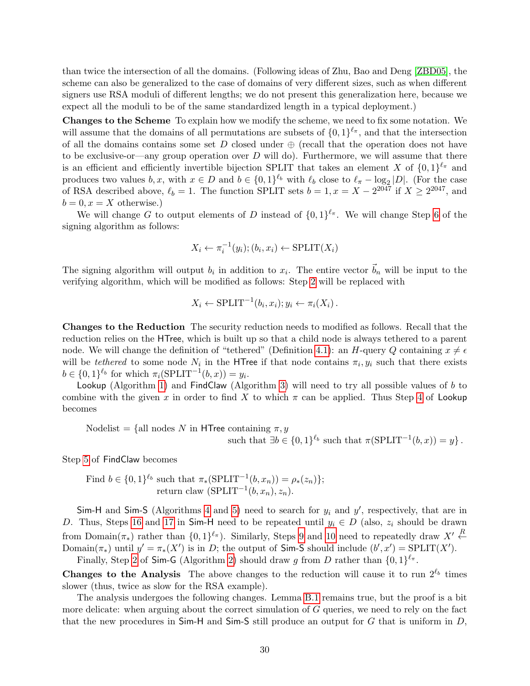than twice the intersection of all the domains. (Following ideas of Zhu, Bao and Deng [\[ZBD05\]](#page-21-13), the scheme can also be generalized to the case of domains of very different sizes, such as when different signers use RSA moduli of different lengths; we do not present this generalization here, because we expect all the moduli to be of the same standardized length in a typical deployment.)

Changes to the Scheme To explain how we modify the scheme, we need to fix some notation. We will assume that the domains of all permutations are subsets of  $\{0,1\}^{\ell_{\pi}}$ , and that the intersection of all the domains contains some set D closed under  $\oplus$  (recall that the operation does not have to be exclusive-or—any group operation over  $D$  will do). Furthermore, we will assume that there is an efficient and efficiently invertible bijection SPLIT that takes an element X of  $\{0,1\}^{\ell_{\pi}}$  and produces two values  $b, x$ , with  $x \in D$  and  $b \in \{0,1\}^{\ell_b}$  with  $\ell_b$  close to  $\ell_{\pi} - \log_2|D|$ . (For the case of RSA described above,  $\ell_b = 1$ . The function SPLIT sets  $b = 1, x = X - 2^{2047}$  if  $X \ge 2^{2047}$ , and  $b = 0, x = X$  otherwise.)

We will change G to output elements of D instead of  $\{0,1\}^{\ell_{\pi}}$ . We will change Step [6](#page-10-2) of the signing algorithm as follows:

$$
X_i \leftarrow \pi_i^{-1}(y_i); (b_i, x_i) \leftarrow \text{SPLIT}(X_i)
$$

The signing algorithm will output  $b_i$  in addition to  $x_i$ . The entire vector  $\vec{b}_n$  will be input to the verifying algorithm, which will be modified as follows: Step [2](#page-10-3) will be replaced with

$$
X_i \leftarrow \text{SPLIT}^{-1}(b_i, x_i); y_i \leftarrow \pi_i(X_i).
$$

Changes to the Reduction The security reduction needs to modified as follows. Recall that the reduction relies on the HTree, which is built up so that a child node is always tethered to a parent node. We will change the definition of "tethered" (Definition [4.1\)](#page-11-2): an H-query Q containing  $x \neq \epsilon$ will be *tethered* to some node  $N_i$  in the HTree if that node contains  $\pi_i, y_i$  such that there exists  $b \in \{0,1\}^{\ell_b}$  for which  $\pi_i(\text{SPLIT}^{-1}(b,x)) = y_i$ .

Lookup (Algorithm [1\)](#page-13-0) and FindClaw (Algorithm [3\)](#page-13-4) will need to try all possible values of  $b$  to combine with the given x in order to find X to which  $\pi$  can be applied. Thus Step [4](#page-13-11) of Lookup becomes

Nodelist = {all nodes N in HTree containing  $\pi, y$ such that  $\exists b \in \{0,1\}^{\ell_b}$  such that  $\pi(\text{SPLIT}^{-1}(b, x)) = y\}$ .

Step [5](#page-13-12) of FindClaw becomes

Find 
$$
b \in \{0,1\}^{\ell_b}
$$
 such that  $\pi_*(\text{SPLIT}^{-1}(b, x_n)) = \rho_*(z_n)\};$   
return claw (SPLIT<sup>-1</sup>(b, x\_n), z\_n).

Sim-H and Sim-S (Algorithms [4](#page-13-1) and [5\)](#page-13-2) need to search for  $y_i$  and  $y'$ , respectively, that are in D. Thus, Steps [16](#page-13-13) and [17](#page-13-6) in Sim-H need to be repeated until  $y_i \in D$  (also,  $z_i$  should be drawn from Domain( $\pi_*$ ) rather than  $\{0,1\}^{\ell_\pi}$ ). Similarly, Steps [9](#page-13-14) and [10](#page-13-15) need to repeatedly draw  $X' \stackrel{R}{\leftarrow}$ Domain( $\pi_*$ ) until  $y' = \pi_*(X')$  is in D; the output of Sim-S should include  $(b', x') = \text{SPLIT}(X')$ .

Finally, Step [2](#page-13-16) of Sim-G (Algorithm [2\)](#page-13-3) should draw g from D rather than  $\{0,1\}^{\ell_{\pi}}$ .

**Changes to the Analysis** The above changes to the reduction will cause it to run  $2^{l_b}$  times slower (thus, twice as slow for the RSA example).

The analysis undergoes the following changes. Lemma [B.1](#page-23-2) remains true, but the proof is a bit more delicate: when arguing about the correct simulation of G queries, we need to rely on the fact that the new procedures in  $Sim-H$  and  $Sim-S$  still produce an output for G that is uniform in D,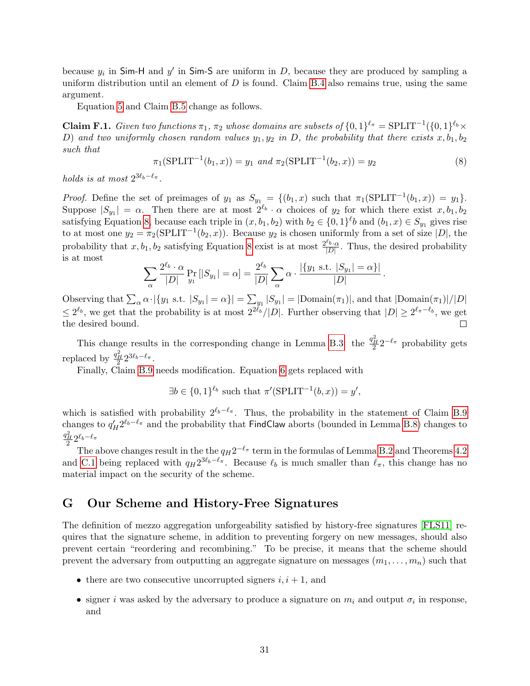because  $y_i$  in Sim-H and  $y'$  in Sim-S are uniform in D, because they are produced by sampling a uniform distribution until an element of  $D$  is found. Claim [B.4](#page-24-3) also remains true, using the same argument.

Equation [5](#page-24-4) and Claim [B.5](#page-24-2) change as follows.

**Claim F.1.** Given two functions  $\pi_1$ ,  $\pi_2$  whose domains are subsets of  $\{0,1\}^{\ell_{\pi}} = \text{SPLIT}^{-1}(\{0,1\}^{\ell_b} \times$ D) and two uniformly chosen random values  $y_1, y_2$  in D, the probability that there exists  $x, b_1, b_2$ such that

<span id="page-31-1"></span>
$$
\pi_1(\text{SPLIT}^{-1}(b_1, x)) = y_1 \text{ and } \pi_2(\text{SPLIT}^{-1}(b_2, x)) = y_2 \tag{8}
$$

holds is at most  $2^{3\ell_b-\ell_{\pi}}$ .

*Proof.* Define the set of preimages of  $y_1$  as  $S_{y_1} = \{(b_1, x) \text{ such that } \pi_1(\text{SPLIT}^{-1}(b_1, x)) = y_1\}.$ Suppose  $|S_{y_1}| = \alpha$ . Then there are at most  $2^{\ell_b} \cdot \alpha$  choices of  $y_2$  for which there exist  $x, b_1, b_2$ satisfying Equation [8,](#page-31-1) because each triple in  $(x, b_1, b_2)$  with  $b_2 \in \{0, 1\}^{\ell}b$  and  $(b_1, x) \in S_{y_1}$  gives rise to at most one  $y_2 = \pi_2(SPLIT^{-1}(b_2, x))$ . Because  $y_2$  is chosen uniformly from a set of size  $|D|$ , the probability that  $x, b_1, b_2$  satisfying Equation [8](#page-31-1) exist is at most  $\frac{2^{\ell_b} \cdot \alpha}{|D|}$  $\frac{\partial \mathcal{L}_{b}}{|D|}$ . Thus, the desired probability is at most

$$
\sum_{\alpha} \frac{2^{\ell_b} \cdot \alpha}{|D|} \Pr_{y_1} [|S_{y_1}| = \alpha] = \frac{2^{\ell_b}}{|D|} \sum_{\alpha} \alpha \cdot \frac{|\{y_1 \text{ s.t. } |S_{y_1}| = \alpha\}|}{|D|}.
$$

Observing that  $\sum_{\alpha} \alpha \cdot |\{y_1 \text{ s.t. } |S_{y_1}| = \alpha\}| = \sum_{y_1} |S_{y_1}| = |\text{Domain}(\pi_1)|$ , and that  $|\text{Domain}(\pi_1)|/|D|$  $\leq 2^{\ell_b}$ , we get that the probability is at most  $2^{2\ell_b}/|D|$ . Further observing that  $|D| \geq 2^{\ell_{\pi}-\ell_b}$ , we get the desired bound.  $\Box$ 

This change results in the corresponding change in Lemma [B.3:](#page-24-1) the  $\frac{q_H^2}{2} 2^{-\ell_{\pi}}$  probability gets replaced by  $\frac{q_H^2}{2} 2^{3\ell_b - \ell_{\pi}}$ .

Finally, Claim [B.9](#page-26-1) needs modification. Equation [6](#page-26-2) gets replaced with

$$
\exists b \in \{0,1\}^{\ell_b} \text{ such that } \pi'(\text{SPLIT}^{-1}(b,x)) = y',
$$

which is satisfied with probability  $2^{\ell_b-\ell_{\pi}}$ . Thus, the probability in the statement of Claim [B.9](#page-26-1) changes to  $q_H' 2^{\ell_b-\ell_{\pi}}$  and the probability that FindClaw aborts (bounded in Lemma [B.8\)](#page-25-2) changes to  $\frac{q_H^2}{2} 2^{\ell_b - \ell_{\pi}}$ 

The above changes result in the the  $q_H 2^{-\ell_\pi}$  term in the formulas of Lemma [B.2](#page-23-3) and Theorems [4.2](#page-14-4) and [C.1](#page-27-2) being replaced with  $q_H 2^{3\ell_b-\ell_\pi}$ . Because  $\ell_b$  is much smaller than  $\ell_\pi$ , this change has no material impact on the security of the scheme.

# <span id="page-31-0"></span>G Our Scheme and History-Free Signatures

The definition of mezzo aggregation unforgeability satisfied by history-free signatures [\[FLS11\]](#page-19-0) requires that the signature scheme, in addition to preventing forgery on new messages, should also prevent certain "reordering and recombining." To be precise, it means that the scheme should prevent the adversary from outputting an aggregate signature on messages  $(m_1, \ldots, m_n)$  such that

- there are two consecutive uncorrupted signers  $i, i + 1$ , and
- signer i was asked by the adversary to produce a signature on  $m_i$  and output  $\sigma_i$  in response, and